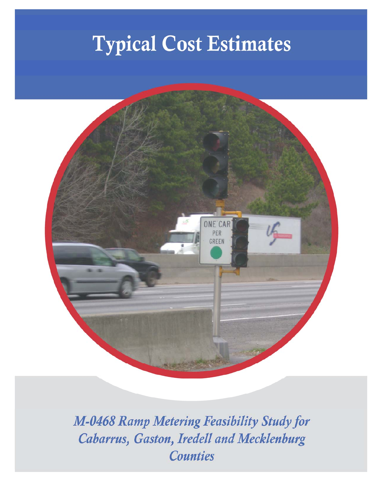# **Typical Cost Estimates**



M-0468 Ramp Metering Feasibility Study for Cabarrus, Gaston, Iredell and Mecklenburg **Counties**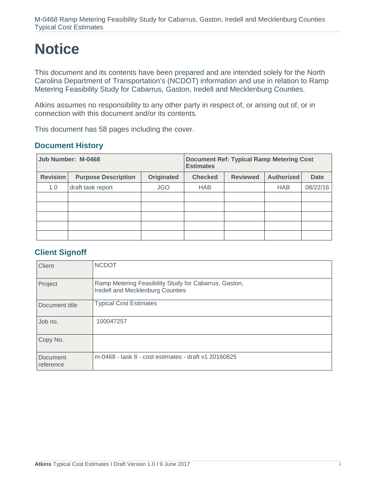# **Notice**

This document and its contents have been prepared and are intended solely for the North Carolina Department of Transportation's (NCDOT) information and use in relation to Ramp Metering Feasibility Study for Cabarrus, Gaston, Iredell and Mecklenburg Counties.

Atkins assumes no responsibility to any other party in respect of, or arising out of, or in connection with this document and/or its contents.

This document has 58 pages including the cover.

#### **Document History**

| Job Number: M-0468 |                            | <b>Document Ref: Typical Ramp Metering Cost</b><br><b>Estimates</b> |                |                 |                   |             |
|--------------------|----------------------------|---------------------------------------------------------------------|----------------|-----------------|-------------------|-------------|
| <b>Revision</b>    | <b>Purpose Description</b> | <b>Originated</b>                                                   | <b>Checked</b> | <b>Reviewed</b> | <b>Authorized</b> | <b>Date</b> |
| 1.0                | draft task report          | <b>JGO</b>                                                          | <b>HAB</b>     |                 | <b>HAB</b>        | 08/22/16    |
|                    |                            |                                                                     |                |                 |                   |             |
|                    |                            |                                                                     |                |                 |                   |             |
|                    |                            |                                                                     |                |                 |                   |             |
|                    |                            |                                                                     |                |                 |                   |             |
|                    |                            |                                                                     |                |                 |                   |             |

#### **Client Signoff**

| <b>Client</b>         | <b>NCDOT</b>                                                                              |
|-----------------------|-------------------------------------------------------------------------------------------|
| Project               | Ramp Metering Feasibility Study for Cabarrus, Gaston,<br>Iredell and Mecklenburg Counties |
| Document title        | <b>Typical Cost Estimates</b>                                                             |
| Job no.               | 100047257                                                                                 |
| Copy No.              |                                                                                           |
| Document<br>reference | m-0468 - task 8 - cost estimates - draft v1 20160825                                      |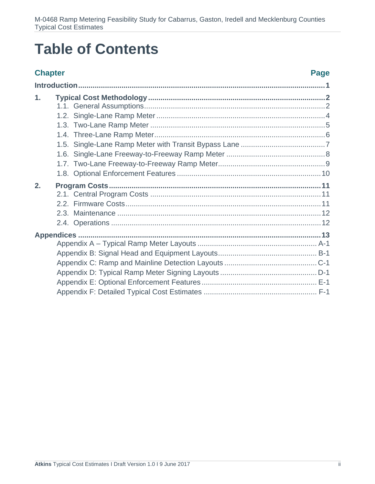# **Table of Contents**

#### **Chapter Chapter Chapter**  $\blacksquare$

| $\mathbf 1$ . |  |
|---------------|--|
|               |  |
|               |  |
|               |  |
|               |  |
|               |  |
|               |  |
|               |  |
|               |  |
| 2.            |  |
|               |  |
|               |  |
|               |  |
|               |  |
|               |  |
|               |  |
|               |  |
|               |  |
|               |  |
|               |  |
|               |  |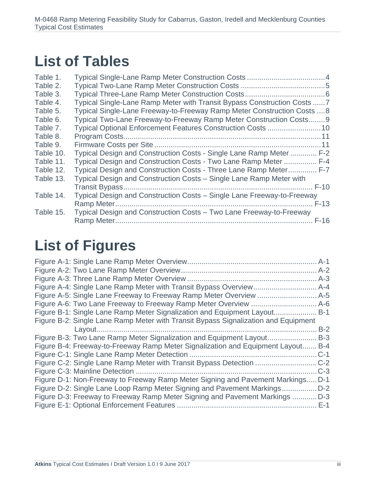# **List of Tables**

| Table 1.  |                                                                          |
|-----------|--------------------------------------------------------------------------|
| Table 2.  |                                                                          |
| Table 3.  |                                                                          |
| Table 4.  | Typical Single-Lane Ramp Meter with Transit Bypass Construction Costs  7 |
| Table 5.  | Typical Single-Lane Freeway-to-Freeway Ramp Meter Construction Costs  8  |
| Table 6.  | Typical Two-Lane Freeway-to-Freeway Ramp Meter Construction Costs9       |
| Table 7.  |                                                                          |
| Table 8.  |                                                                          |
| Table 9.  |                                                                          |
| Table 10. | Typical Design and Construction Costs - Single Lane Ramp Meter  F-2      |
| Table 11. | Typical Design and Construction Costs - Two Lane Ramp Meter  F-4         |
| Table 12. | Typical Design and Construction Costs - Three Lane Ramp Meter F-7        |
| Table 13. | Typical Design and Construction Costs - Single Lane Ramp Meter with      |
|           | $F-10$                                                                   |
| Table 14. | Typical Design and Construction Costs - Single Lane Freeway-to-Freeway   |
|           | $F-13$                                                                   |
| Table 15. | Typical Design and Construction Costs - Two Lane Freeway-to-Freeway      |
|           |                                                                          |

# **List of Figures**

|                                                                                    | $A-3$  |
|------------------------------------------------------------------------------------|--------|
|                                                                                    |        |
|                                                                                    |        |
|                                                                                    |        |
| Figure B-1: Single Lane Ramp Meter Signalization and Equipment Layout B-1          |        |
| Figure B-2: Single Lane Ramp Meter with Transit Bypass Signalization and Equipment |        |
|                                                                                    | $B-2$  |
| Figure B-3: Two Lane Ramp Meter Signalization and Equipment Layout                 | $B-3$  |
| Figure B-4: Freeway-to-Freeway Ramp Meter Signalization and Equipment Layout       | $B-4$  |
|                                                                                    | C-1    |
| Figure C-2: Single Lane Ramp Meter with Transit Bypass Detection                   | $$ C-2 |
|                                                                                    | $C-3$  |
| Figure D-1: Non-Freeway to Freeway Ramp Meter Signing and Pavement Markings D-1    |        |
| Figure D-2: Single Lane Loop Ramp Meter Signing and Pavement Markings              | $D-2$  |
| Figure D-3: Freeway to Freeway Ramp Meter Signing and Pavement Markings  D-3       |        |
|                                                                                    | $E-1$  |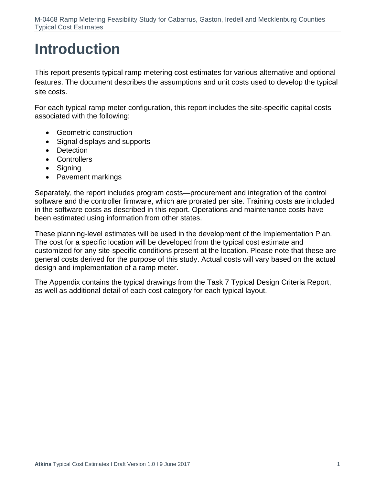# **Introduction**

This report presents typical ramp metering cost estimates for various alternative and optional features. The document describes the assumptions and unit costs used to develop the typical site costs.

For each typical ramp meter configuration, this report includes the site-specific capital costs associated with the following:

- **•** Geometric construction
- Signal displays and supports
- Detection
- Controllers
- Signing
- Pavement markings

Separately, the report includes program costs—procurement and integration of the control software and the controller firmware, which are prorated per site. Training costs are included in the software costs as described in this report. Operations and maintenance costs have been estimated using information from other states.

These planning-level estimates will be used in the development of the Implementation Plan. The cost for a specific location will be developed from the typical cost estimate and customized for any site-specific conditions present at the location. Please note that these are general costs derived for the purpose of this study. Actual costs will vary based on the actual design and implementation of a ramp meter.

The Appendix contains the typical drawings from the Task 7 Typical Design Criteria Report, as well as additional detail of each cost category for each typical layout.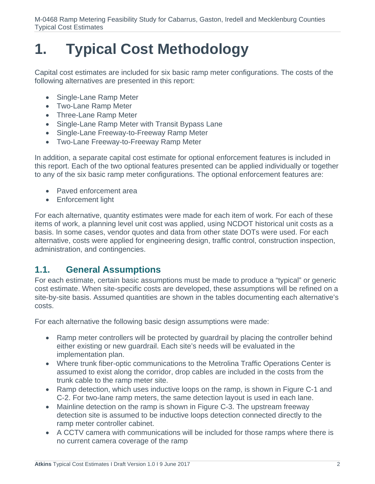# **1. Typical Cost Methodology**

Capital cost estimates are included for six basic ramp meter configurations. The costs of the following alternatives are presented in this report:

- Single-Lane Ramp Meter
- Two-Lane Ramp Meter
- Three-Lane Ramp Meter
- Single-Lane Ramp Meter with Transit Bypass Lane
- Single-Lane Freeway-to-Freeway Ramp Meter
- Two-Lane Freeway-to-Freeway Ramp Meter

In addition, a separate capital cost estimate for optional enforcement features is included in this report. Each of the two optional features presented can be applied individually or together to any of the six basic ramp meter configurations. The optional enforcement features are:

- Paved enforcement area
- Enforcement light

For each alternative, quantity estimates were made for each item of work. For each of these items of work, a planning level unit cost was applied, using NCDOT historical unit costs as a basis. In some cases, vendor quotes and data from other state DOTs were used. For each alternative, costs were applied for engineering design, traffic control, construction inspection, administration, and contingencies.

# **1.1. General Assumptions**

For each estimate, certain basic assumptions must be made to produce a "typical" or generic cost estimate. When site-specific costs are developed, these assumptions will be refined on a site-by-site basis. Assumed quantities are shown in the tables documenting each alternative's costs.

For each alternative the following basic design assumptions were made:

- Ramp meter controllers will be protected by guardrail by placing the controller behind either existing or new guardrail. Each site's needs will be evaluated in the implementation plan.
- Where trunk fiber-optic communications to the Metrolina Traffic Operations Center is assumed to exist along the corridor, drop cables are included in the costs from the trunk cable to the ramp meter site.
- Ramp detection, which uses inductive loops on the ramp, is shown in Figure C-1 and C-2. For two-lane ramp meters, the same detection layout is used in each lane.
- Mainline detection on the ramp is shown in Figure C-3. The upstream freeway detection site is assumed to be inductive loops detection connected directly to the ramp meter controller cabinet.
- A CCTV camera with communications will be included for those ramps where there is no current camera coverage of the ramp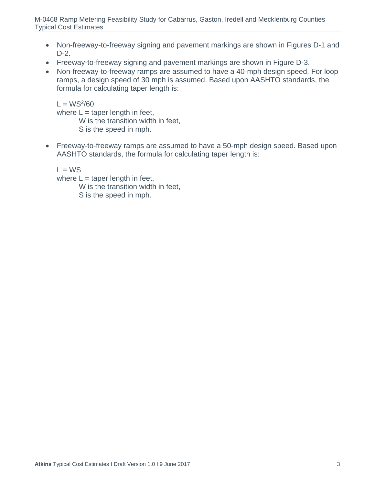- Non-freeway-to-freeway signing and pavement markings are shown in Figures D-1 and D-2.
- Freeway-to-freeway signing and pavement markings are shown in Figure D-3.
- Non-freeway-to-freeway ramps are assumed to have a 40-mph design speed. For loop ramps, a design speed of 30 mph is assumed. Based upon AASHTO standards, the formula for calculating taper length is:

 $L = WS^2/60$ where  $L =$  taper length in feet, W is the transition width in feet, S is the speed in mph.

 Freeway-to-freeway ramps are assumed to have a 50-mph design speed. Based upon AASHTO standards, the formula for calculating taper length is:

 $L = WS$ 

where  $L =$  taper length in feet,

W is the transition width in feet,

S is the speed in mph.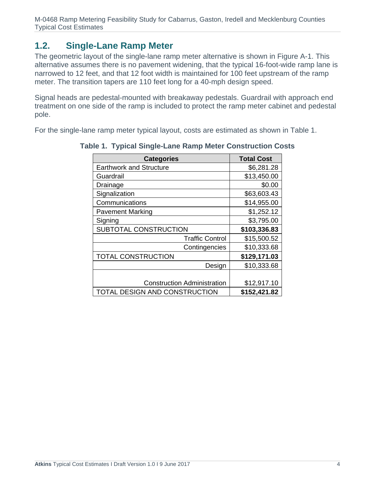# **1.2. Single-Lane Ramp Meter**

The geometric layout of the single-lane ramp meter alternative is shown in Figure A-1. This alternative assumes there is no pavement widening, that the typical 16-foot-wide ramp lane is narrowed to 12 feet, and that 12 foot width is maintained for 100 feet upstream of the ramp meter. The transition tapers are 110 feet long for a 40-mph design speed.

Signal heads are pedestal-mounted with breakaway pedestals. Guardrail with approach end treatment on one side of the ramp is included to protect the ramp meter cabinet and pedestal pole.

For the single-lane ramp meter typical layout, costs are estimated as shown in Table 1.

| <b>Categories</b>                  | <b>Total Cost</b> |
|------------------------------------|-------------------|
| <b>Earthwork and Structure</b>     | \$6,281.28        |
| Guardrail                          | \$13,450.00       |
| Drainage                           | \$0.00            |
| Signalization                      | \$63,603.43       |
| Communications                     | \$14,955.00       |
| <b>Pavement Marking</b>            | \$1,252.12        |
| Signing                            | \$3,795.00        |
| SUBTOTAL CONSTRUCTION              | \$103,336.83      |
| <b>Traffic Control</b>             | \$15,500.52       |
| Contingencies                      | \$10,333.68       |
| <b>TOTAL CONSTRUCTION</b>          | \$129,171.03      |
| Design                             | \$10,333.68       |
|                                    |                   |
| <b>Construction Administration</b> | \$12,917.10       |
| TOTAL DESIGN AND CONSTRUCTION      | \$152,421.82      |

**Table 1. Typical Single-Lane Ramp Meter Construction Costs**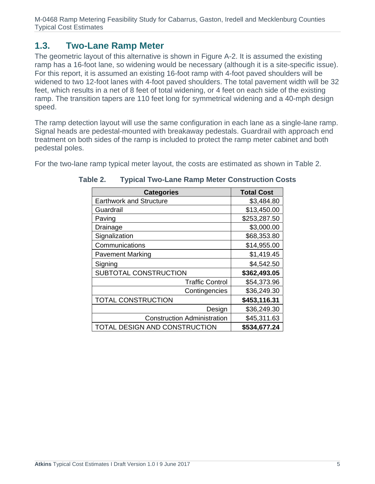### **1.3. Two-Lane Ramp Meter**

The geometric layout of this alternative is shown in Figure A-2. It is assumed the existing ramp has a 16-foot lane, so widening would be necessary (although it is a site-specific issue). For this report, it is assumed an existing 16-foot ramp with 4-foot paved shoulders will be widened to two 12-foot lanes with 4-foot paved shoulders. The total pavement width will be 32 feet, which results in a net of 8 feet of total widening, or 4 feet on each side of the existing ramp. The transition tapers are 110 feet long for symmetrical widening and a 40-mph design speed.

The ramp detection layout will use the same configuration in each lane as a single-lane ramp. Signal heads are pedestal-mounted with breakaway pedestals. Guardrail with approach end treatment on both sides of the ramp is included to protect the ramp meter cabinet and both pedestal poles.

For the two-lane ramp typical meter layout, the costs are estimated as shown in Table 2.

| <b>Categories</b>                  | <b>Total Cost</b> |
|------------------------------------|-------------------|
| <b>Earthwork and Structure</b>     | \$3,484.80        |
| Guardrail                          | \$13,450.00       |
| Paving                             | \$253,287.50      |
| Drainage                           | \$3,000.00        |
| Signalization                      | \$68,353.80       |
| Communications                     | \$14,955.00       |
| <b>Pavement Marking</b>            | \$1,419.45        |
| Signing                            | \$4,542.50        |
| SUBTOTAL CONSTRUCTION              | \$362,493.05      |
| <b>Traffic Control</b>             | \$54,373.96       |
| Contingencies                      | \$36,249.30       |
| <b>TOTAL CONSTRUCTION</b>          | \$453,116.31      |
| Design                             | \$36,249.30       |
| <b>Construction Administration</b> | \$45,311.63       |
| TOTAL DESIGN AND CONSTRUCTION      | \$534,677.24      |

#### **Table 2. Typical Two-Lane Ramp Meter Construction Costs**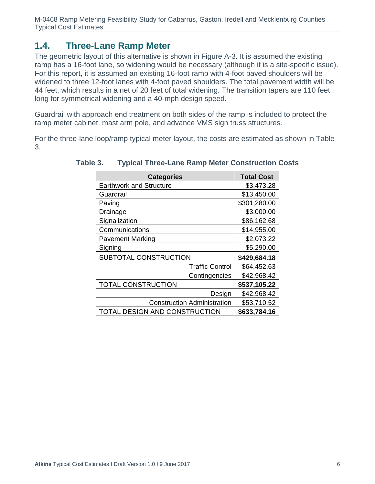# **1.4. Three-Lane Ramp Meter**

The geometric layout of this alternative is shown in Figure A-3. It is assumed the existing ramp has a 16-foot lane, so widening would be necessary (although it is a site-specific issue). For this report, it is assumed an existing 16-foot ramp with 4-foot paved shoulders will be widened to three 12-foot lanes with 4-foot paved shoulders. The total pavement width will be 44 feet, which results in a net of 20 feet of total widening. The transition tapers are 110 feet long for symmetrical widening and a 40-mph design speed.

Guardrail with approach end treatment on both sides of the ramp is included to protect the ramp meter cabinet, mast arm pole, and advance VMS sign truss structures.

For the three-lane loop/ramp typical meter layout, the costs are estimated as shown in Table 3.

| <b>Categories</b>                  | <b>Total Cost</b> |
|------------------------------------|-------------------|
| <b>Earthwork and Structure</b>     | \$3,473.28        |
| Guardrail                          | \$13,450.00       |
| Paving                             | \$301,280.00      |
| Drainage                           | \$3,000.00        |
| Signalization                      | \$86,162.68       |
| Communications                     | \$14,955.00       |
| <b>Pavement Marking</b>            | \$2,073.22        |
| Signing                            | \$5,290.00        |
| SUBTOTAL CONSTRUCTION              | \$429,684.18      |
| <b>Traffic Control</b>             | \$64,452.63       |
| Contingencies                      | \$42,968.42       |
| <b>TOTAL CONSTRUCTION</b>          | \$537,105.22      |
| Design                             | \$42,968.42       |
| <b>Construction Administration</b> | \$53,710.52       |
| TOTAL DESIGN AND CONSTRUCTION      | \$633,784.16      |

**Table 3. Typical Three-Lane Ramp Meter Construction Costs**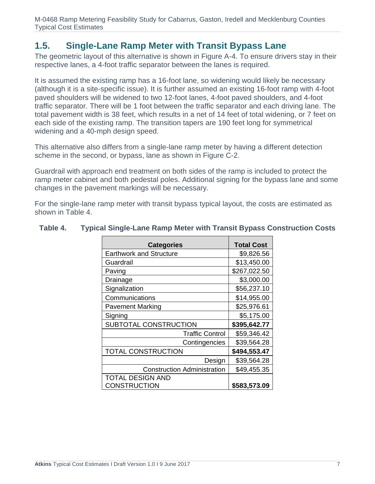### **1.5. Single-Lane Ramp Meter with Transit Bypass Lane**

The geometric layout of this alternative is shown in Figure A-4. To ensure drivers stay in their respective lanes, a 4-foot traffic separator between the lanes is required.

It is assumed the existing ramp has a 16-foot lane, so widening would likely be necessary (although it is a site-specific issue). It is further assumed an existing 16-foot ramp with 4-foot paved shoulders will be widened to two 12-foot lanes, 4-foot paved shoulders, and 4-foot traffic separator. There will be 1 foot between the traffic separator and each driving lane. The total pavement width is 38 feet, which results in a net of 14 feet of total widening, or 7 feet on each side of the existing ramp. The transition tapers are 190 feet long for symmetrical widening and a 40-mph design speed.

This alternative also differs from a single-lane ramp meter by having a different detection scheme in the second, or bypass, lane as shown in Figure C-2.

Guardrail with approach end treatment on both sides of the ramp is included to protect the ramp meter cabinet and both pedestal poles. Additional signing for the bypass lane and some changes in the pavement markings will be necessary.

For the single-lane ramp meter with transit bypass typical layout, the costs are estimated as shown in Table 4.

| <b>Categories</b>                  | <b>Total Cost</b> |
|------------------------------------|-------------------|
| <b>Earthwork and Structure</b>     | \$9,826.56        |
| Guardrail                          | \$13,450.00       |
| Paving                             | \$267,022.50      |
| Drainage                           | \$3,000.00        |
| Signalization                      | \$56,237.10       |
| Communications                     | \$14,955.00       |
| <b>Pavement Marking</b>            | \$25,976.61       |
| Signing                            | \$5,175.00        |
| SUBTOTAL CONSTRUCTION              | \$395,642.77      |
| <b>Traffic Control</b>             | \$59,346.42       |
| Contingencies                      | \$39,564.28       |
| <b>TOTAL CONSTRUCTION</b>          | \$494,553.47      |
| Design                             | \$39,564.28       |
| <b>Construction Administration</b> | \$49,455.35       |
| <b>TOTAL DESIGN AND</b>            |                   |
| <b>CONSTRUCTION</b>                | \$583,573.09      |

#### **Table 4. Typical Single-Lane Ramp Meter with Transit Bypass Construction Costs**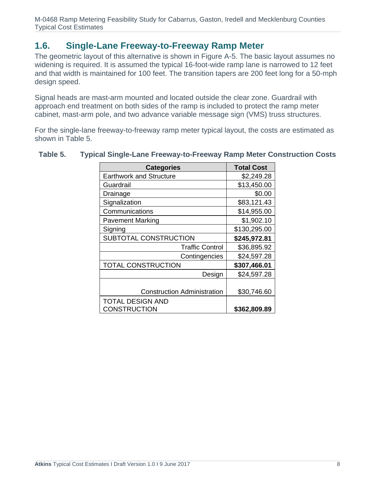### **1.6. Single-Lane Freeway-to-Freeway Ramp Meter**

The geometric layout of this alternative is shown in Figure A-5. The basic layout assumes no widening is required. It is assumed the typical 16-foot-wide ramp lane is narrowed to 12 feet and that width is maintained for 100 feet. The transition tapers are 200 feet long for a 50-mph design speed.

Signal heads are mast-arm mounted and located outside the clear zone. Guardrail with approach end treatment on both sides of the ramp is included to protect the ramp meter cabinet, mast-arm pole, and two advance variable message sign (VMS) truss structures.

For the single-lane freeway-to-freeway ramp meter typical layout, the costs are estimated as shown in Table 5.

| <b>Categories</b>                  | <b>Total Cost</b> |
|------------------------------------|-------------------|
| <b>Earthwork and Structure</b>     | \$2,249.28        |
| Guardrail                          | \$13,450.00       |
| Drainage                           | \$0.00            |
| Signalization                      | \$83,121.43       |
| Communications                     | \$14,955.00       |
| <b>Pavement Marking</b>            | \$1,902.10        |
| Signing                            | \$130,295.00      |
| SUBTOTAL CONSTRUCTION              | \$245,972.81      |
| <b>Traffic Control</b>             | \$36,895.92       |
| Contingencies                      | \$24,597.28       |
| <b>TOTAL CONSTRUCTION</b>          | \$307,466.01      |
| Design                             | \$24,597.28       |
|                                    |                   |
| <b>Construction Administration</b> | \$30,746.60       |
| <b>TOTAL DESIGN AND</b>            |                   |
| <b>CONSTRUCTION</b>                | \$362,809.89      |

#### **Table 5. Typical Single-Lane Freeway-to-Freeway Ramp Meter Construction Costs**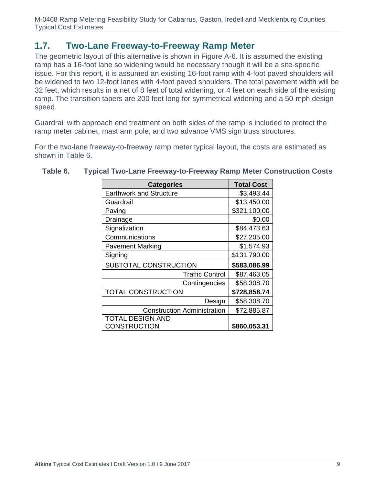### **1.7. Two-Lane Freeway-to-Freeway Ramp Meter**

The geometric layout of this alternative is shown in Figure A-6. It is assumed the existing ramp has a 16-foot lane so widening would be necessary though it will be a site-specific issue. For this report, it is assumed an existing 16-foot ramp with 4-foot paved shoulders will be widened to two 12-foot lanes with 4-foot paved shoulders. The total pavement width will be 32 feet, which results in a net of 8 feet of total widening, or 4 feet on each side of the existing ramp. The transition tapers are 200 feet long for symmetrical widening and a 50-mph design speed.

Guardrail with approach end treatment on both sides of the ramp is included to protect the ramp meter cabinet, mast arm pole, and two advance VMS sign truss structures.

For the two-lane freeway-to-freeway ramp meter typical layout, the costs are estimated as shown in Table 6.

| <b>Categories</b>                  | <b>Total Cost</b> |
|------------------------------------|-------------------|
| <b>Earthwork and Structure</b>     | \$3,493.44        |
| Guardrail                          | \$13,450.00       |
| Paving                             | \$321,100.00      |
| Drainage                           | \$0.00            |
| Signalization                      | \$84,473.63       |
| Communications                     | \$27,205.00       |
| <b>Pavement Marking</b>            | \$1,574.93        |
| Signing                            | \$131,790.00      |
| SUBTOTAL CONSTRUCTION              | \$583,086.99      |
| <b>Traffic Control</b>             | \$87,463.05       |
| Contingencies                      | \$58,308.70       |
| TOTAL CONSTRUCTION                 | \$728,858.74      |
| Design                             | \$58,308.70       |
| <b>Construction Administration</b> | \$72,885.87       |
| <b>TOTAL DESIGN AND</b>            |                   |
| <b>CONSTRUCTION</b>                | \$860,053.31      |

#### **Table 6. Typical Two-Lane Freeway-to-Freeway Ramp Meter Construction Costs**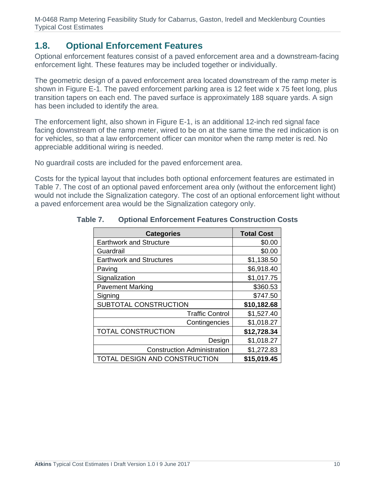### **1.8. Optional Enforcement Features**

Optional enforcement features consist of a paved enforcement area and a downstream-facing enforcement light. These features may be included together or individually.

The geometric design of a paved enforcement area located downstream of the ramp meter is shown in Figure E-1. The paved enforcement parking area is 12 feet wide x 75 feet long, plus transition tapers on each end. The paved surface is approximately 188 square yards. A sign has been included to identify the area.

The enforcement light, also shown in Figure E-1, is an additional 12-inch red signal face facing downstream of the ramp meter, wired to be on at the same time the red indication is on for vehicles, so that a law enforcement officer can monitor when the ramp meter is red. No appreciable additional wiring is needed.

No guardrail costs are included for the paved enforcement area.

Costs for the typical layout that includes both optional enforcement features are estimated in Table 7. The cost of an optional paved enforcement area only (without the enforcement light) would not include the Signalization category. The cost of an optional enforcement light without a paved enforcement area would be the Signalization category only.

| <b>Categories</b>                  | <b>Total Cost</b> |
|------------------------------------|-------------------|
| <b>Earthwork and Structure</b>     | \$0.00            |
| Guardrail                          | \$0.00            |
| <b>Earthwork and Structures</b>    | \$1,138.50        |
| Paving                             | \$6,918.40        |
| Signalization                      | \$1,017.75        |
| <b>Pavement Marking</b>            | \$360.53          |
| Signing                            | \$747.50          |
| SUBTOTAL CONSTRUCTION              | \$10,182.68       |
| <b>Traffic Control</b>             | \$1,527.40        |
| Contingencies                      | \$1,018.27        |
| <b>TOTAL CONSTRUCTION</b>          | \$12,728.34       |
| Design                             | \$1,018.27        |
| <b>Construction Administration</b> | \$1,272.83        |
| TOTAL DESIGN AND CONSTRUCTION      | \$15,019.45       |

**Table 7. Optional Enforcement Features Construction Costs**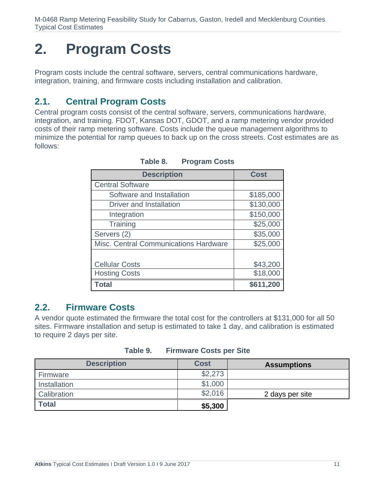# **2. Program Costs**

Program costs include the central software, servers, central communications hardware, integration, training, and firmware costs including installation and calibration.

# **2.1. Central Program Costs**

Central program costs consist of the central software, servers, communications hardware, integration, and training. FDOT, Kansas DOT, GDOT, and a ramp metering vendor provided costs of their ramp metering software. Costs include the queue management algorithms to minimize the potential for ramp queues to back up on the cross streets. Cost estimates are as follows:

| <b>Description</b>                    | <b>Cost</b> |
|---------------------------------------|-------------|
| <b>Central Software</b>               |             |
| Software and Installation             | \$185,000   |
| <b>Driver and Installation</b>        | \$130,000   |
| Integration                           | \$150,000   |
| Training                              | \$25,000    |
| Servers (2)                           | \$35,000    |
| Misc. Central Communications Hardware | \$25,000    |
|                                       |             |
| <b>Cellular Costs</b>                 | \$43,200    |
| <b>Hosting Costs</b>                  | \$18,000    |
| Total                                 | \$611,200   |

**Table 8. Program Costs** 

### **2.2. Firmware Costs**

A vendor quote estimated the firmware the total cost for the controllers at \$131,000 for all 50 sites. Firmware installation and setup is estimated to take 1 day, and calibration is estimated to require 2 days per site.

| <b>Description</b> | <b>Cost</b> | <b>Assumptions</b> |
|--------------------|-------------|--------------------|
| Firmware           | \$2,273     |                    |
| Installation       | \$1,000     |                    |
| Calibration        | \$2,016     | 2 days per site    |
| <b>Total</b>       | \$5,300     |                    |

**Table 9. Firmware Costs per Site**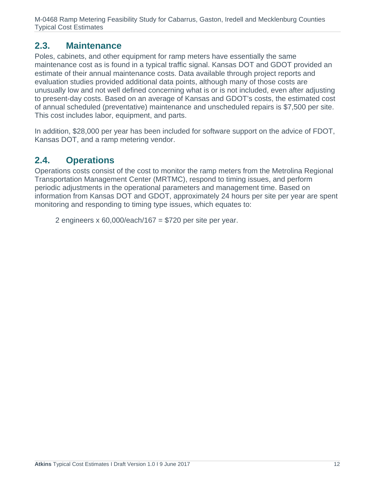### **2.3. Maintenance**

Poles, cabinets, and other equipment for ramp meters have essentially the same maintenance cost as is found in a typical traffic signal. Kansas DOT and GDOT provided an estimate of their annual maintenance costs. Data available through project reports and evaluation studies provided additional data points, although many of those costs are unusually low and not well defined concerning what is or is not included, even after adjusting to present-day costs. Based on an average of Kansas and GDOT's costs, the estimated cost of annual scheduled (preventative) maintenance and unscheduled repairs is \$7,500 per site. This cost includes labor, equipment, and parts.

In addition, \$28,000 per year has been included for software support on the advice of FDOT, Kansas DOT, and a ramp metering vendor.

# **2.4. Operations**

Operations costs consist of the cost to monitor the ramp meters from the Metrolina Regional Transportation Management Center (MRTMC), respond to timing issues, and perform periodic adjustments in the operational parameters and management time. Based on information from Kansas DOT and GDOT, approximately 24 hours per site per year are spent monitoring and responding to timing type issues, which equates to:

2 engineers  $x\,60,000$ /each/167 = \$720 per site per year.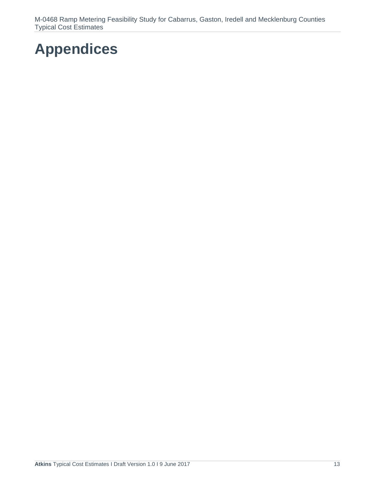# **Appendices**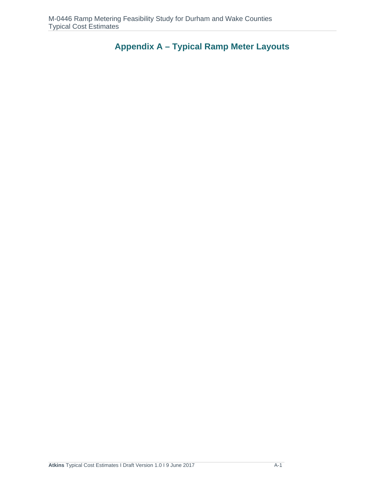**Appendix A – Typical Ramp Meter Layouts**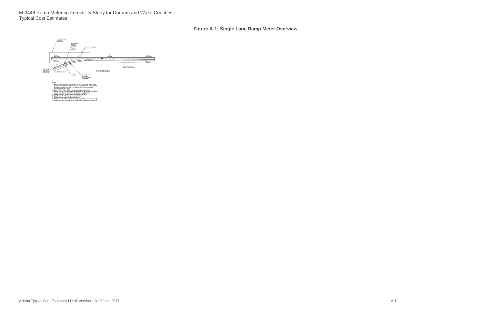# **Figure A-1: Single Lane Ramp Meter Overview**

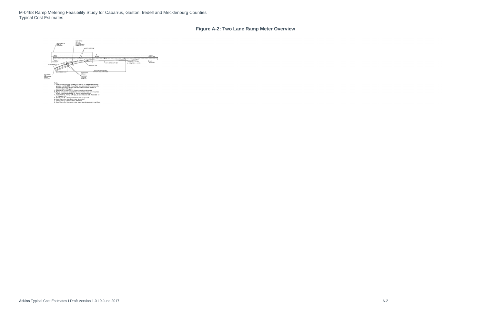# **Figure A-2: Two Lane Ramp Meter Overview**

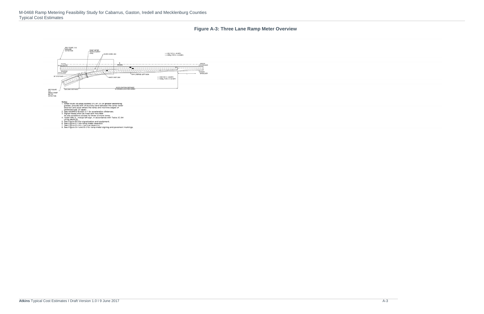A-3

#### **Figure A-3: Three Lane Ramp Meter Overview**

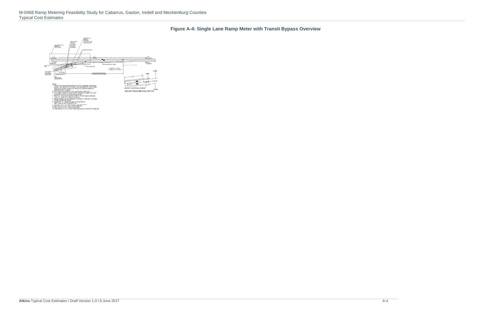**Figure A-4: Single Lane Ramp Meter with Transit Bypass Overview** 

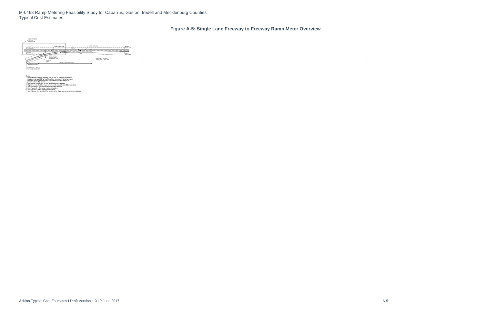A-5

**Figure A-5: Single Lane Freeway to Freeway Ramp Meter Overview** 

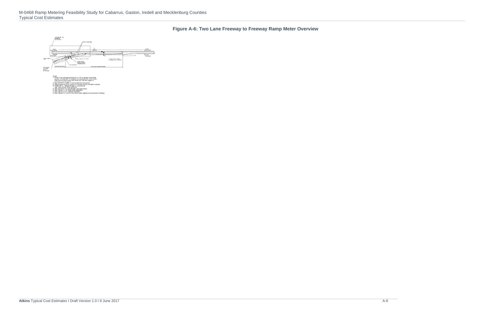#### **Figure A-6: Two Lane Freeway to Freeway Ramp Meter Overview**

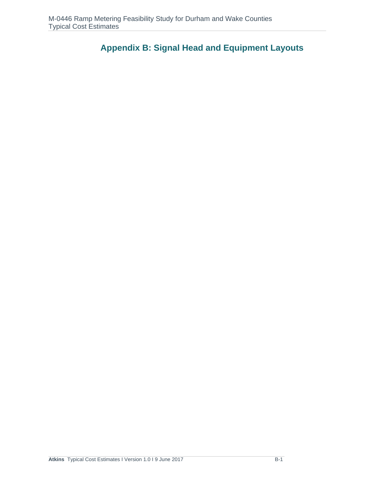**Appendix B: Signal Head and Equipment Layouts**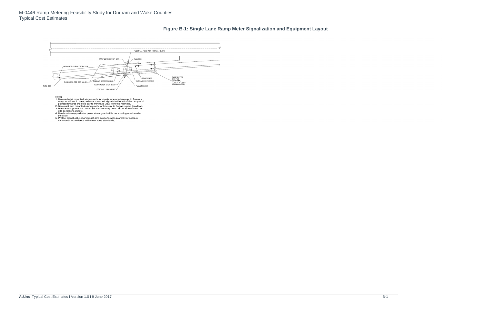#### **Figure B-1: Single Lane Ramp Meter Signalization and Equipment Layout**

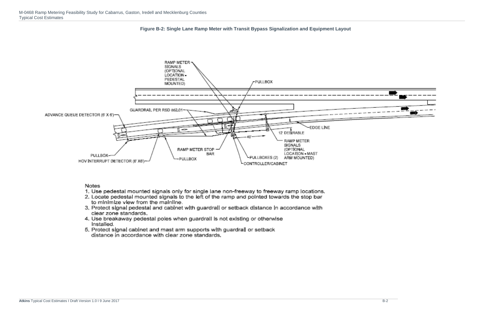



#### **Notes**

- 1. Use pedestal mounted signals only for single lane non-freeway to freeway ramp locations.
- 2. Locate pedestal mounted signals to the left of the ramp and pointed towards the stop bar to minimize view from the mainline.
- 3. Protect signal pedestal and cabinet with guardrall or setback distance in accordance with clear zone standards
- 4. Use breakaway pedestal poles when guardrall is not existing or otherwise Installed.
- 5. Protect signal cabinet and mast arm supports with guardrall or setback distance in accordance with clear zone standards.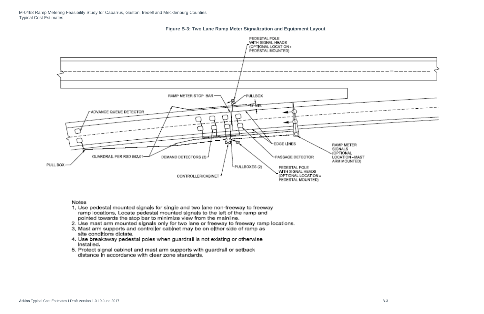

**Figure B-3: Two Lane Ramp Meter Signalization and Equipment Layout**

#### Notes

- 1. Use pedestal mounted signals for single and two lane non-freeway to freeway ramp locations. Locate pedestal mounted signals to the left of the ramp and pointed towards the stop bar to minimize view from the mainline.
- 2. Use mast arm mounted signals only for two lane or freeway to freeway ramp locations.<br>3. Mast arm supports and controller cabinet may be on either side of ramp as
- site conditions dictate.
- 4. Use breakaway pedestal poles when guardrail is not existing or otherwise Installed.
- 5. Protect signal cabinet and mast arm supports with guardrall or setback distance in accordance with clear zone standards.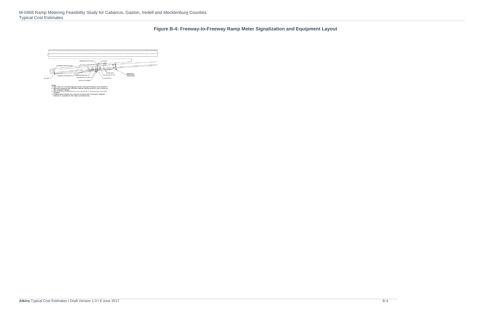# **Figure B-4: Freeway-to-Freeway Ramp Meter Signalization and Equipment Layout**

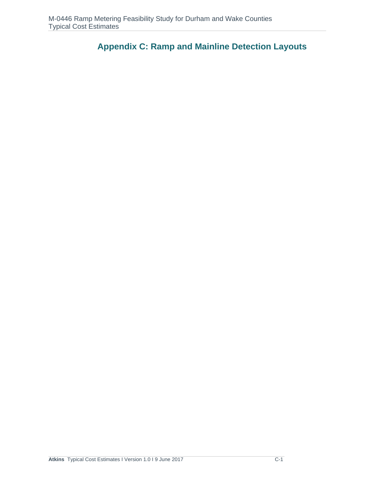**Appendix C: Ramp and Mainline Detection Layouts**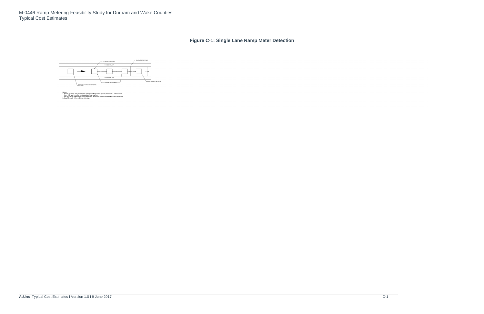# **Figure C-1: Single Lane Ramp Meter Detection**

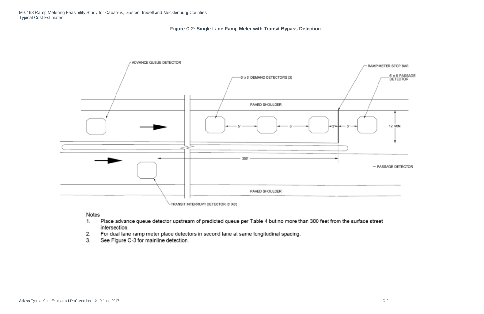



#### Notes

- Place advance queue detector upstream of predicted queue per Table 4 but no more than 300 feet from the surface street 1. intersection.
- For dual lane ramp meter place detectors in second lane at same longitudinal spacing.  $2.$
- $3.$ See Figure C-3 for mainline detection.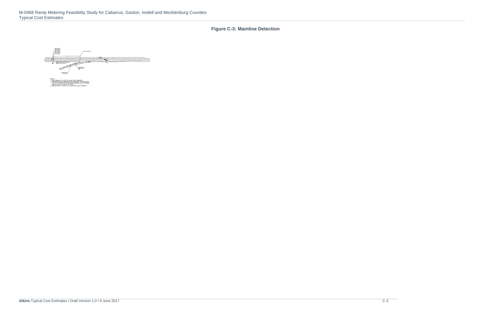**Figure C-3: Mainline Detection** 

4 **RAMP METER** 

1. See Figu recorr<br>sign s<br>suljus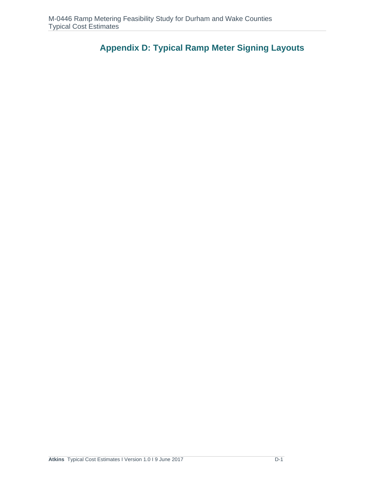**Appendix D: Typical Ramp Meter Signing Layouts**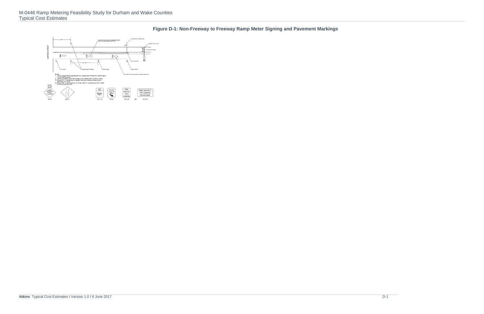**Figure D-1: Non-Freeway to Freeway Ramp Meter Signing and Pavement Markings** 

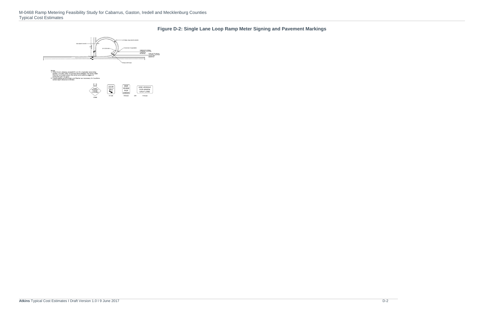**Figure D-2: Single Lane Loop Ramp Meter Signing and Pavement Markings** 

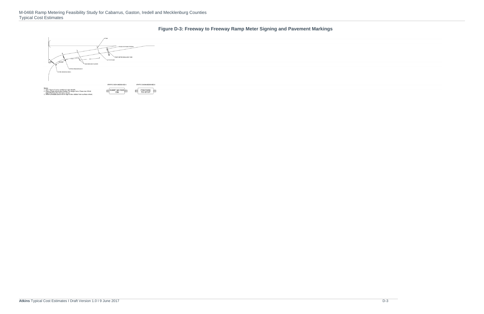**Figure D-3: Freeway to Freeway Ramp Meter Signing and Pavement Markings** 

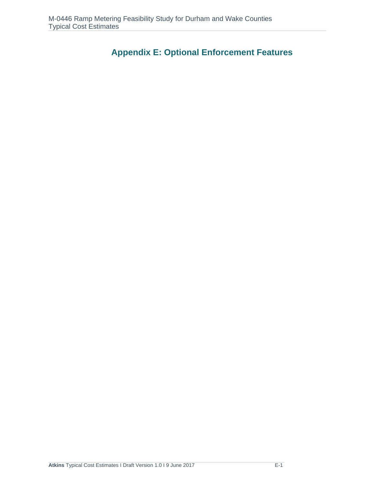**Appendix E: Optional Enforcement Features**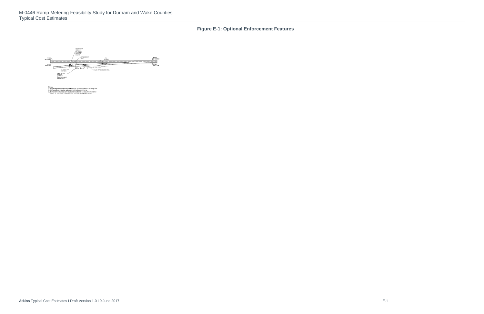#### **Figure E-1: Optional Enforcement Features**

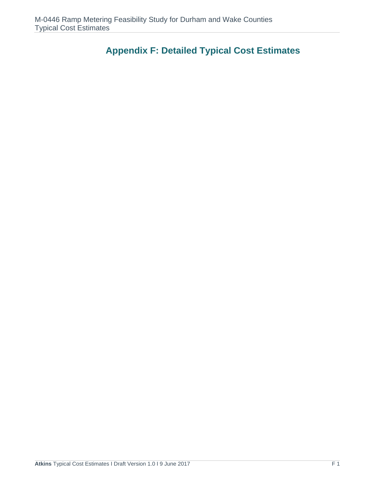# **Appendix F: Detailed Typical Cost Estimates**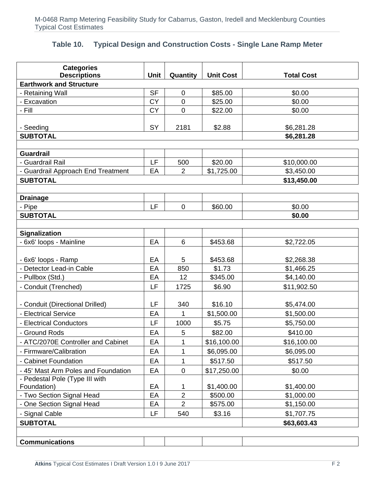# **Table 10. Typical Design and Construction Costs - Single Lane Ramp Meter**

| <b>Categories</b><br><b>Descriptions</b> | Unit      | Quantity         | <b>Unit Cost</b> | <b>Total Cost</b>        |
|------------------------------------------|-----------|------------------|------------------|--------------------------|
| <b>Earthwork and Structure</b>           |           |                  |                  |                          |
| - Retaining Wall                         | <b>SF</b> | $\boldsymbol{0}$ | \$85.00          | \$0.00                   |
| - Excavation                             | <b>CY</b> | $\overline{0}$   | \$25.00          | \$0.00                   |
| - Fill                                   | <b>CY</b> | $\mathbf 0$      | \$22.00          | \$0.00                   |
|                                          |           |                  |                  |                          |
| - Seeding                                | SY        | 2181             | \$2.88           | \$6,281.28               |
| <b>SUBTOTAL</b>                          |           |                  |                  | \$6,281.28               |
|                                          |           |                  |                  |                          |
| <b>Guardrail</b>                         |           |                  |                  |                          |
| - Guardrail Rail                         | LF        | 500              | \$20.00          | \$10,000.00              |
| - Guardrail Approach End Treatment       | EA        | $\overline{2}$   | \$1,725.00       | \$3,450.00               |
| <b>SUBTOTAL</b>                          |           |                  |                  | \$13,450.00              |
|                                          |           |                  |                  |                          |
| <b>Drainage</b>                          |           |                  |                  |                          |
| - Pipe                                   | LF        | $\mathbf 0$      | \$60.00          | \$0.00                   |
| <b>SUBTOTAL</b>                          |           |                  |                  | \$0.00                   |
|                                          |           |                  |                  |                          |
| <b>Signalization</b>                     |           |                  |                  |                          |
| - 6x6' loops - Mainline                  | EA        | 6                | \$453.68         | \$2,722.05               |
|                                          |           |                  |                  |                          |
| - 6x6' loops - Ramp                      | EA        | 5                | \$453.68         | \$2,268.38               |
| - Detector Lead-in Cable                 | EA        | 850              | \$1.73           | \$1,466.25               |
| - Pullbox (Std.)                         | EA        | 12               | \$345.00         | \$4,140.00               |
| - Conduit (Trenched)                     | LF        | 1725             | \$6.90           | \$11,902.50              |
| - Conduit (Directional Drilled)          | LF        | 340              | \$16.10          |                          |
|                                          |           | $\mathbf{1}$     |                  | \$5,474.00<br>\$1,500.00 |
| - Electrical Service                     | EA        |                  | \$1,500.00       |                          |
| - Electrical Conductors                  | LF        | 1000             | \$5.75           | \$5,750.00               |
| - Ground Rods                            | EA        | 5                | \$82.00          | \$410.00                 |
| - ATC/2070E Controller and Cabinet       | EA        | 1                | \$16,100.00      | \$16,100.00              |
| - Firmware/Calibration                   | EA        | 1                | \$6,095.00       | \$6,095.00               |
| - Cabinet Foundation                     | EA        | 1                | \$517.50         | \$517.50                 |
| - 45' Mast Arm Poles and Foundation      | EA        | $\mathbf 0$      | \$17,250.00      | \$0.00                   |
| - Pedestal Pole (Type III with           |           |                  |                  |                          |
| Foundation)                              | EA        | 1                | \$1,400.00       | \$1,400.00               |
| - Two Section Signal Head                | EA        | $\overline{2}$   | \$500.00         | \$1,000.00               |
| - One Section Signal Head                | EA        | $\overline{2}$   | \$575.00         | \$1,150.00               |
| - Signal Cable                           | LF        | 540              | \$3.16           | \$1,707.75               |
| <b>SUBTOTAL</b>                          |           |                  |                  | \$63,603.43              |
|                                          |           |                  |                  |                          |
| <b>Communications</b>                    |           |                  |                  |                          |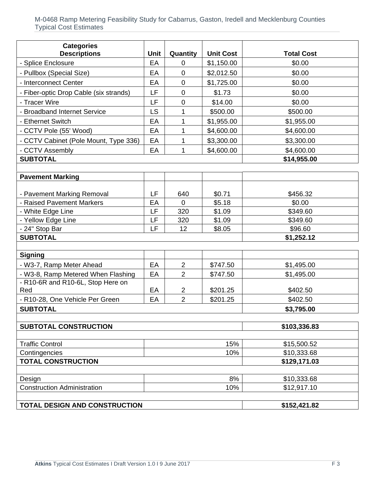| <b>Categories</b><br><b>Descriptions</b>      | <b>Unit</b> | Quantity       | <b>Unit Cost</b> | <b>Total Cost</b>   |  |  |
|-----------------------------------------------|-------------|----------------|------------------|---------------------|--|--|
| - Splice Enclosure                            | EA          | $\Omega$       | \$1,150.00       | \$0.00              |  |  |
| - Pullbox (Special Size)                      | EA          | $\overline{0}$ | \$2,012.50       | \$0.00              |  |  |
| - Interconnect Center                         | EA          | $\mathbf 0$    | \$1,725.00       | \$0.00              |  |  |
| - Fiber-optic Drop Cable (six strands)        | LF          | $\mathbf 0$    | \$1.73           | \$0.00              |  |  |
| - Tracer Wire                                 | LF          | $\mathbf 0$    | \$14.00          | \$0.00              |  |  |
| <b>Broadband Internet Service</b>             | LS          | 1              | \$500.00         | \$500.00            |  |  |
| - Ethernet Switch                             | EA          | 1              | \$1,955.00       | \$1,955.00          |  |  |
| - CCTV Pole (55' Wood)                        | EA          | 1              | \$4,600.00       | \$4,600.00          |  |  |
| - CCTV Cabinet (Pole Mount, Type 336)         | EA          | 1              | \$3,300.00       | \$3,300.00          |  |  |
| - CCTV Assembly                               | EA          | 1              | \$4,600.00       | \$4,600.00          |  |  |
| <b>SUBTOTAL</b>                               |             |                |                  | \$14,955.00         |  |  |
|                                               |             |                |                  |                     |  |  |
| <b>Pavement Marking</b>                       |             |                |                  |                     |  |  |
|                                               |             |                |                  |                     |  |  |
| - Pavement Marking Removal                    | LF          | 640            | \$0.71           | \$456.32            |  |  |
| - Raised Pavement Markers                     | EA<br>LF    | $\overline{0}$ | \$5.18           | \$0.00              |  |  |
| - White Edge Line                             | LF          | 320            | \$1.09           | \$349.60            |  |  |
| - Yellow Edge Line                            | LF          | 320<br>12      | \$1.09           | \$349.60<br>\$96.60 |  |  |
| - 24" Stop Bar<br><b>SUBTOTAL</b>             |             |                | \$8.05           | \$1,252.12          |  |  |
|                                               |             |                |                  |                     |  |  |
| <b>Signing</b>                                |             |                |                  |                     |  |  |
| - W3-7, Ramp Meter Ahead                      | EA          | $\overline{2}$ | \$747.50         | \$1,495.00          |  |  |
| - W3-8, Ramp Metered When Flashing            | EA          | $\overline{2}$ | \$747.50         | \$1,495.00          |  |  |
| - R10-6R and R10-6L, Stop Here on             |             |                |                  |                     |  |  |
| Red                                           | EA          | $\overline{2}$ | \$201.25         | \$402.50            |  |  |
| - R10-28, One Vehicle Per Green               | EA          | $\overline{2}$ | \$201.25         | \$402.50            |  |  |
| <b>SUBTOTAL</b>                               |             |                |                  | \$3.795.00          |  |  |
|                                               |             |                |                  |                     |  |  |
| <b>SUBTOTAL CONSTRUCTION</b>                  |             |                |                  | \$103,336.83        |  |  |
| <b>Traffic Control</b>                        |             |                | 15%              | \$15,500.52         |  |  |
| Contingencies                                 |             |                | 10%              | \$10,333.68         |  |  |
| <b>TOTAL CONSTRUCTION</b>                     |             |                |                  | \$129,171.03        |  |  |
|                                               |             |                |                  |                     |  |  |
| Design                                        |             |                | 8%               | \$10,333.68         |  |  |
| <b>Construction Administration</b>            |             |                | 10%              | \$12,917.10         |  |  |
|                                               |             |                |                  |                     |  |  |
| TOTAL DESIGN AND CONSTRUCTION<br>\$152,421.82 |             |                |                  |                     |  |  |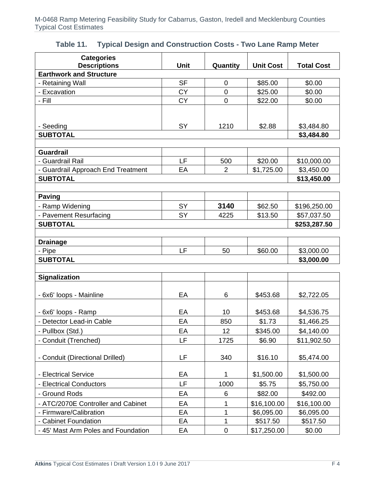| <b>Categories</b>                   |                        |                  |                    |                   |
|-------------------------------------|------------------------|------------------|--------------------|-------------------|
| <b>Descriptions</b>                 | <b>Unit</b>            | Quantity         | <b>Unit Cost</b>   | <b>Total Cost</b> |
| <b>Earthwork and Structure</b>      |                        |                  |                    |                   |
| - Retaining Wall<br>- Excavation    | <b>SF</b><br><b>CY</b> | 0<br>$\mathbf 0$ | \$85.00<br>\$25.00 | \$0.00<br>\$0.00  |
| - Fill                              | <b>CY</b>              | $\overline{0}$   | \$22.00            | \$0.00            |
|                                     |                        |                  |                    |                   |
|                                     |                        |                  |                    |                   |
| - Seeding                           | SY                     | 1210             | \$2.88             | \$3,484.80        |
| <b>SUBTOTAL</b>                     |                        |                  |                    | \$3,484.80        |
|                                     |                        |                  |                    |                   |
| <b>Guardrail</b>                    |                        |                  |                    |                   |
| - Guardrail Rail                    | LF                     | 500              | \$20.00            | \$10,000.00       |
| - Guardrail Approach End Treatment  | EA                     | $\overline{2}$   | \$1,725.00         | \$3,450.00        |
| <b>SUBTOTAL</b>                     |                        |                  |                    | \$13,450.00       |
|                                     |                        |                  |                    |                   |
| <b>Paving</b>                       |                        |                  |                    |                   |
| - Ramp Widening                     | <b>SY</b>              | 3140             | \$62.50            | \$196,250.00      |
| - Pavement Resurfacing              | <b>SY</b>              | 4225             | \$13.50            | \$57,037.50       |
| <b>SUBTOTAL</b>                     |                        |                  |                    | \$253,287.50      |
|                                     |                        |                  |                    |                   |
| <b>Drainage</b>                     |                        |                  |                    |                   |
| - Pipe                              | LF                     | 50               | \$60.00            | \$3,000.00        |
| <b>SUBTOTAL</b>                     |                        |                  |                    | \$3,000.00        |
| <b>Signalization</b>                |                        |                  |                    |                   |
|                                     |                        |                  |                    |                   |
| - 6x6' loops - Mainline             | EA                     | 6                | \$453.68           | \$2,722.05        |
|                                     |                        |                  |                    |                   |
| - 6x6' loops - Ramp                 | EA                     | 10               | \$453.68           | \$4,536.75        |
| - Detector Lead-in Cable            | EA                     | 850              | \$1.73             | \$1,466.25        |
| - Pullbox (Std.)                    | EA                     | 12               | \$345.00           | \$4,140.00        |
| - Conduit (Trenched)                | LF                     | 1725             | \$6.90             | \$11,902.50       |
|                                     |                        |                  |                    |                   |
| - Conduit (Directional Drilled)     | LF                     | 340              | \$16.10            | \$5,474.00        |
|                                     |                        |                  |                    |                   |
| - Electrical Service                | EA                     | 1                | \$1,500.00         | \$1,500.00        |
| - Electrical Conductors             | LF                     | 1000             | \$5.75             | \$5,750.00        |
| - Ground Rods                       | EA                     | 6                | \$82.00            | \$492.00          |
| - ATC/2070E Controller and Cabinet  | EA                     | 1                | \$16,100.00        | \$16,100.00       |
| - Firmware/Calibration              | EA                     | $\mathbf{1}$     | \$6,095.00         | \$6,095.00        |
| - Cabinet Foundation                | EA                     | $\mathbf{1}$     | \$517.50           | \$517.50          |
| - 45' Mast Arm Poles and Foundation | EA                     | $\pmb{0}$        | \$17,250.00        | \$0.00            |

#### **Table 11. Typical Design and Construction Costs - Two Lane Ramp Meter**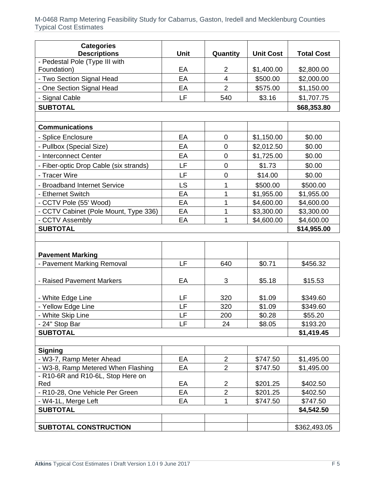| <b>Categories</b>                                     |             |                     |                  |                   |
|-------------------------------------------------------|-------------|---------------------|------------------|-------------------|
| <b>Descriptions</b><br>- Pedestal Pole (Type III with | <b>Unit</b> | Quantity            | <b>Unit Cost</b> | <b>Total Cost</b> |
| Foundation)                                           | EA          | 2                   | \$1,400.00       | \$2,800.00        |
| - Two Section Signal Head                             | EA          | $\overline{4}$      | \$500.00         | \$2,000.00        |
| - One Section Signal Head                             | EA          | $\overline{2}$      | \$575.00         | \$1,150.00        |
| - Signal Cable                                        | LF          | 540                 | \$3.16           | \$1,707.75        |
| <b>SUBTOTAL</b>                                       |             |                     |                  | \$68,353.80       |
|                                                       |             |                     |                  |                   |
| <b>Communications</b>                                 |             |                     |                  |                   |
| - Splice Enclosure                                    | EA          | $\overline{0}$      | \$1,150.00       | \$0.00            |
| - Pullbox (Special Size)                              | EA          | $\mathbf 0$         | \$2,012.50       | \$0.00            |
| - Interconnect Center                                 | EA          | $\mathbf 0$         | \$1,725.00       | \$0.00            |
| - Fiber-optic Drop Cable (six strands)                | LF          | $\mathbf 0$         | \$1.73           | \$0.00            |
| - Tracer Wire                                         | LF          | $\mathbf 0$         | \$14.00          | \$0.00            |
| - Broadband Internet Service                          | LS          | 1                   | \$500.00         | \$500.00          |
| - Ethernet Switch                                     | EA          | $\mathbf{1}$        | \$1,955.00       | \$1,955.00        |
| - CCTV Pole (55' Wood)                                | EA          | 1                   | \$4,600.00       | \$4,600.00        |
| - CCTV Cabinet (Pole Mount, Type 336)                 | EA          | 1                   | \$3,300.00       | \$3,300.00        |
| - CCTV Assembly                                       | EA          | 1                   | \$4,600.00       | \$4,600.00        |
| <b>SUBTOTAL</b>                                       |             |                     |                  | \$14,955.00       |
|                                                       |             |                     |                  |                   |
| <b>Pavement Marking</b>                               |             |                     |                  |                   |
| - Pavement Marking Removal                            | LF          | 640                 | \$0.71           | \$456.32          |
|                                                       |             |                     |                  |                   |
| - Raised Pavement Markers                             | EA          | 3                   | \$5.18           | \$15.53           |
| - White Edge Line                                     | LF          | 320                 | \$1.09           | \$349.60          |
| - Yellow Edge Line                                    | LF          | 320                 | \$1.09           | \$349.60          |
| - White Skip Line                                     | LF          | 200                 | \$0.28           | \$55.20           |
| - 24" Stop Bar                                        | LF          | 24                  | \$8.05           | \$193.20          |
| <b>SUBTOTAL</b>                                       |             |                     |                  | \$1,419.45        |
|                                                       |             |                     |                  |                   |
| <b>Signing</b>                                        |             |                     |                  |                   |
| - W3-7, Ramp Meter Ahead                              | EA          | $\overline{2}$      | \$747.50         | \$1,495.00        |
| - W3-8, Ramp Metered When Flashing                    | EA          | $\overline{2}$      | \$747.50         | \$1,495.00        |
| - R10-6R and R10-6L, Stop Here on                     |             |                     |                  |                   |
| Red                                                   | EA          | $\overline{2}$      | \$201.25         | \$402.50          |
| - R10-28, One Vehicle Per Green                       | EA          | $\overline{2}$<br>1 | \$201.25         | \$402.50          |
| - W4-1L, Merge Left<br><b>SUBTOTAL</b>                | EA          |                     | \$747.50         | \$747.50          |
|                                                       |             |                     |                  | \$4,542.50        |
| <b>SUBTOTAL CONSTRUCTION</b>                          |             |                     |                  | \$362,493.05      |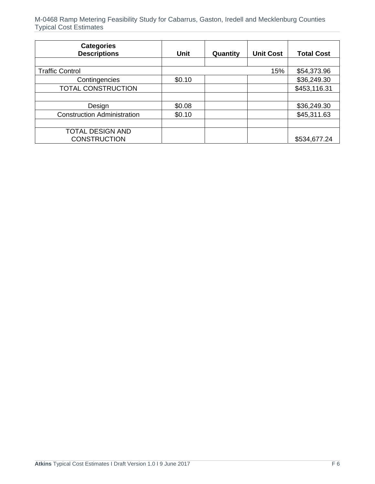| <b>Categories</b><br><b>Descriptions</b> | Unit   | Quantity | <b>Unit Cost</b> | <b>Total Cost</b> |
|------------------------------------------|--------|----------|------------------|-------------------|
|                                          |        |          |                  |                   |
| <b>Traffic Control</b>                   |        |          | 15%              | \$54,373.96       |
| Contingencies                            | \$0.10 |          |                  | \$36,249.30       |
| <b>TOTAL CONSTRUCTION</b>                |        |          |                  | \$453,116.31      |
|                                          |        |          |                  |                   |
| Design                                   | \$0.08 |          |                  | \$36,249.30       |
| <b>Construction Administration</b>       | \$0.10 |          |                  | \$45,311.63       |
|                                          |        |          |                  |                   |
| <b>TOTAL DESIGN AND</b>                  |        |          |                  |                   |
| <b>CONSTRUCTION</b>                      |        |          |                  | \$534,677.24      |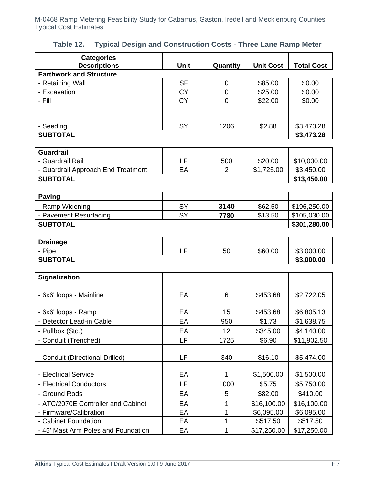| <b>Categories</b>                   |             |                |                  |                   |
|-------------------------------------|-------------|----------------|------------------|-------------------|
| <b>Descriptions</b>                 | <b>Unit</b> | Quantity       | <b>Unit Cost</b> | <b>Total Cost</b> |
| <b>Earthwork and Structure</b>      |             |                |                  |                   |
| - Retaining Wall                    | <b>SF</b>   | 0              | \$85.00          | \$0.00            |
| - Excavation                        | <b>CY</b>   | $\overline{0}$ | \$25.00          | \$0.00            |
| - Fill                              | <b>CY</b>   | $\mathbf 0$    | \$22.00          | \$0.00            |
|                                     |             |                |                  |                   |
| - Seeding                           | <b>SY</b>   | 1206           | \$2.88           | \$3,473.28        |
| <b>SUBTOTAL</b>                     |             |                |                  | \$3,473.28        |
|                                     |             |                |                  |                   |
| <b>Guardrail</b>                    |             |                |                  |                   |
| - Guardrail Rail                    | LF          | 500            | \$20.00          | \$10,000.00       |
| - Guardrail Approach End Treatment  | EA          | $\overline{2}$ | \$1,725.00       | \$3,450.00        |
| <b>SUBTOTAL</b>                     |             |                |                  | \$13,450.00       |
|                                     |             |                |                  |                   |
| <b>Paving</b>                       |             |                |                  |                   |
| - Ramp Widening                     | <b>SY</b>   | 3140           | \$62.50          | \$196,250.00      |
| - Pavement Resurfacing              | <b>SY</b>   | 7780           | \$13.50          | \$105,030.00      |
| <b>SUBTOTAL</b>                     |             |                |                  | \$301,280.00      |
|                                     |             |                |                  |                   |
| <b>Drainage</b>                     |             |                |                  |                   |
| - Pipe                              | LF          | 50             | \$60.00          | \$3,000.00        |
| <b>SUBTOTAL</b>                     |             |                |                  | \$3,000.00        |
|                                     |             |                |                  |                   |
| <b>Signalization</b>                |             |                |                  |                   |
| - 6x6' loops - Mainline             | EA          | 6              | \$453.68         | \$2,722.05        |
|                                     |             |                |                  |                   |
| - 6x6' loops - Ramp                 | EA          | 15             | \$453.68         | \$6,805.13        |
| - Detector Lead-in Cable            | EA          | 950            | \$1.73           | \$1,638.75        |
| - Pullbox (Std.)                    | EA          | 12             | \$345.00         | \$4,140.00        |
| - Conduit (Trenched)                | LF          | 1725           | \$6.90           | \$11,902.50       |
|                                     |             |                |                  |                   |
| - Conduit (Directional Drilled)     | LF          | 340            | \$16.10          | \$5,474.00        |
|                                     |             |                |                  |                   |
| - Electrical Service                | EA          | 1              | \$1,500.00       | \$1,500.00        |
| - Electrical Conductors             | LF          | 1000           | \$5.75           | \$5,750.00        |
| - Ground Rods                       | EA          | 5              | \$82.00          | \$410.00          |
| - ATC/2070E Controller and Cabinet  | EA          | 1              | \$16,100.00      | \$16,100.00       |
| - Firmware/Calibration              | EA          | 1              | \$6,095.00       | \$6,095.00        |
| - Cabinet Foundation                | EA          | 1              | \$517.50         | \$517.50          |
| - 45' Mast Arm Poles and Foundation | EA          | 1              | \$17,250.00      | \$17,250.00       |

#### **Table 12. Typical Design and Construction Costs - Three Lane Ramp Meter**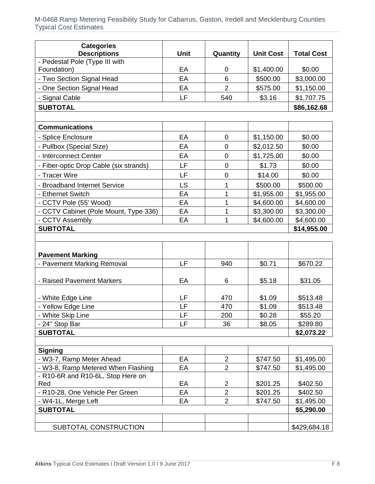| <b>Categories</b>                                     |             |                |                  |                   |
|-------------------------------------------------------|-------------|----------------|------------------|-------------------|
| <b>Descriptions</b><br>- Pedestal Pole (Type III with | <b>Unit</b> | Quantity       | <b>Unit Cost</b> | <b>Total Cost</b> |
| Foundation)                                           | EA          | 0              | \$1,400.00       | \$0.00            |
| - Two Section Signal Head                             | EA          | 6              | \$500.00         | \$3,000.00        |
| - One Section Signal Head                             | EA          | $\overline{2}$ | \$575.00         | \$1,150.00        |
| - Signal Cable                                        | LF          | 540            | \$3.16           | \$1,707.75        |
| <b>SUBTOTAL</b>                                       |             |                |                  | \$86,162.68       |
|                                                       |             |                |                  |                   |
| <b>Communications</b>                                 |             |                |                  |                   |
| - Splice Enclosure                                    | EA          | $\mathbf 0$    | \$1,150.00       | \$0.00            |
| - Pullbox (Special Size)                              | EA          | 0              | \$2,012.50       | \$0.00            |
| - Interconnect Center                                 | EA          | 0              | \$1,725.00       | \$0.00            |
| - Fiber-optic Drop Cable (six strands)                | LF          | 0              | \$1.73           | \$0.00            |
| - Tracer Wire                                         | LF          | 0              | \$14.00          | \$0.00            |
| - Broadband Internet Service                          | LS          | 1              | \$500.00         | \$500.00          |
| - Ethernet Switch                                     | EA          | 1              | \$1,955.00       | \$1,955.00        |
| - CCTV Pole (55' Wood)                                | EA          | 1              | \$4,600.00       | \$4,600.00        |
| - CCTV Cabinet (Pole Mount, Type 336)                 | EA          | 1              | \$3,300.00       | \$3,300.00        |
| - CCTV Assembly                                       | EA          | 1              | \$4,600.00       | \$4,600.00        |
| <b>SUBTOTAL</b>                                       |             |                |                  | \$14,955.00       |
|                                                       |             |                |                  |                   |
|                                                       |             |                |                  |                   |
| <b>Pavement Marking</b><br>- Pavement Marking Removal | LF          | 940            | \$0.71           | \$670.22          |
|                                                       |             |                |                  |                   |
| - Raised Pavement Markers                             | EA          | 6              | \$5.18           | \$31.05           |
| - White Edge Line                                     | LF          | 470            | \$1.09           | \$513.48          |
| - Yellow Edge Line                                    | LF          | 470            | \$1.09           | \$513.48          |
| - White Skip Line                                     | LF          | 200            | \$0.28           | \$55.20           |
| - 24" Stop Bar                                        | LF          | 36             | \$8.05           | \$289.80          |
| <b>SUBTOTAL</b>                                       |             |                |                  | \$2,073.22        |
|                                                       |             |                |                  |                   |
| <b>Signing</b>                                        |             |                |                  |                   |
| - W3-7, Ramp Meter Ahead                              | EA          | 2              | \$747.50         | \$1,495.00        |
| - W3-8, Ramp Metered When Flashing                    | EA          | $\overline{2}$ | \$747.50         | \$1,495.00        |
| - R10-6R and R10-6L, Stop Here on                     |             |                |                  |                   |
| Red                                                   | EA          | $\overline{c}$ | \$201.25         | \$402.50          |
| - R10-28, One Vehicle Per Green                       | EA          | $\overline{2}$ | \$201.25         | \$402.50          |
| - W4-1L, Merge Left                                   | EA          | $\overline{2}$ | \$747.50         | \$1,495.00        |
| <b>SUBTOTAL</b>                                       |             |                |                  | \$5,290.00        |
|                                                       |             |                |                  |                   |
| SUBTOTAL CONSTRUCTION                                 |             |                |                  | \$429,684.18      |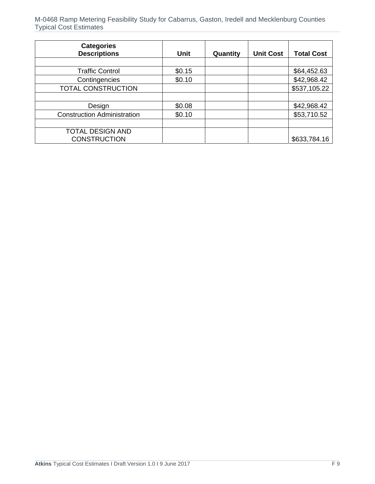| <b>Categories</b><br><b>Descriptions</b> | <b>Unit</b> | Quantity | <b>Unit Cost</b> | <b>Total Cost</b> |
|------------------------------------------|-------------|----------|------------------|-------------------|
|                                          |             |          |                  |                   |
| <b>Traffic Control</b>                   | \$0.15      |          |                  | \$64,452.63       |
| Contingencies                            | \$0.10      |          |                  | \$42,968.42       |
| TOTAL CONSTRUCTION                       |             |          |                  | \$537,105.22      |
|                                          |             |          |                  |                   |
| Design                                   | \$0.08      |          |                  | \$42,968.42       |
| <b>Construction Administration</b>       | \$0.10      |          |                  | \$53,710.52       |
|                                          |             |          |                  |                   |
| <b>TOTAL DESIGN AND</b>                  |             |          |                  |                   |
| <b>CONSTRUCTION</b>                      |             |          |                  | \$633,784.16      |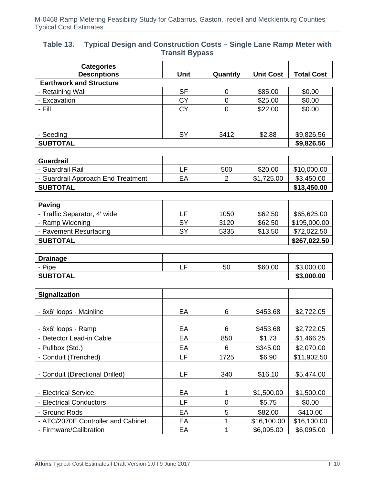| Table 13. | Typical Design and Construction Costs – Single Lane Ramp Meter with |
|-----------|---------------------------------------------------------------------|
|           | <b>Transit Bypass</b>                                               |

| <b>Categories</b><br><b>Descriptions</b> | <b>Unit</b>     | Quantity       | <b>Unit Cost</b> | <b>Total Cost</b> |
|------------------------------------------|-----------------|----------------|------------------|-------------------|
| <b>Earthwork and Structure</b>           |                 |                |                  |                   |
| - Retaining Wall                         | <b>SF</b>       | 0              | \$85.00          | \$0.00            |
| - Excavation                             | <b>CY</b>       | 0              | \$25.00          | \$0.00            |
| - Fill                                   | <b>CY</b>       | $\overline{0}$ | \$22.00          | \$0.00            |
|                                          |                 |                |                  |                   |
|                                          |                 |                |                  |                   |
| - Seeding                                | <b>SY</b>       | 3412           | \$2.88           | \$9,826.56        |
| <b>SUBTOTAL</b>                          |                 |                |                  | \$9,826.56        |
|                                          |                 |                |                  |                   |
| <b>Guardrail</b>                         |                 |                |                  |                   |
| - Guardrail Rail                         | LF              | 500            | \$20.00          | \$10,000.00       |
| - Guardrail Approach End Treatment       | EA              | 2              | \$1,725.00       | \$3,450.00        |
| <b>SUBTOTAL</b>                          |                 |                |                  | \$13,450.00       |
|                                          |                 |                |                  |                   |
| <b>Paving</b>                            |                 |                |                  |                   |
| - Traffic Separator, 4' wide             | LF              | 1050           | \$62.50          | \$65,625.00       |
| - Ramp Widening                          | SY<br><b>SY</b> | 3120           | \$62.50          | \$195,000.00      |
| - Pavement Resurfacing                   |                 | 5335           | \$13.50          | \$72,022.50       |
| <b>SUBTOTAL</b>                          |                 |                |                  | \$267,022.50      |
| <b>Drainage</b>                          |                 |                |                  |                   |
| - Pipe                                   | LF              | 50             | \$60.00          | \$3,000.00        |
| <b>SUBTOTAL</b>                          |                 |                |                  | \$3,000.00        |
|                                          |                 |                |                  |                   |
| Signalization                            |                 |                |                  |                   |
|                                          |                 |                |                  |                   |
| - 6x6' loops - Mainline                  | EA              | 6              | \$453.68         | \$2,722.05        |
|                                          |                 |                |                  |                   |
| - 6x6' loops - Ramp                      | EA              | 6              | \$453.68         | \$2,722.05        |
| - Detector Lead-in Cable                 | EA              | 850            | \$1.73           | \$1,466.25        |
| - Pullbox (Std.)                         | EA              | 6              | \$345.00         | \$2,070.00        |
| - Conduit (Trenched)                     | LF              | 1725           | \$6.90           | \$11,902.50       |
|                                          |                 |                |                  |                   |
| - Conduit (Directional Drilled)          | LF              | 340            | \$16.10          | \$5,474.00        |
|                                          |                 |                |                  |                   |
| - Electrical Service                     | EA              | 1              | \$1,500.00       | \$1,500.00        |
| - Electrical Conductors                  | LF              | $\mathbf 0$    | \$5.75           | \$0.00            |
| - Ground Rods                            | EA              | 5              | \$82.00          | \$410.00          |
| - ATC/2070E Controller and Cabinet       | EA              | 1              | \$16,100.00      | \$16,100.00       |
| - Firmware/Calibration                   | EA              | 1              | \$6,095.00       | \$6,095.00        |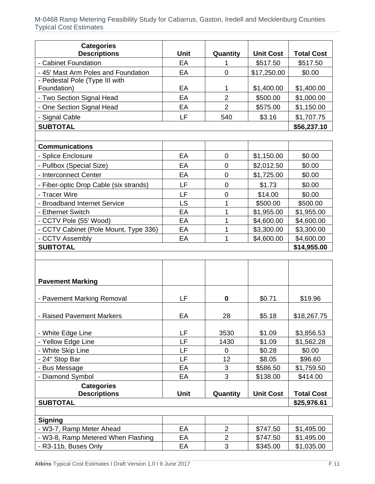| <b>Categories</b><br><b>Descriptions</b>                       | Unit     | Quantity                         | <b>Unit Cost</b>     | <b>Total Cost</b>        |
|----------------------------------------------------------------|----------|----------------------------------|----------------------|--------------------------|
| - Cabinet Foundation                                           | EA       | 1                                | \$517.50             | \$517.50                 |
| - 45' Mast Arm Poles and Foundation                            | EA       | $\mathbf 0$                      | \$17,250.00          | \$0.00                   |
| - Pedestal Pole (Type III with                                 |          |                                  |                      |                          |
| Foundation)                                                    | EA       | 1                                | \$1,400.00           | \$1,400.00               |
| - Two Section Signal Head                                      | EA       | $\overline{2}$                   | \$500.00             | \$1,000.00               |
| - One Section Signal Head                                      | EA       | $\overline{2}$                   | \$575.00             | \$1,150.00               |
| - Signal Cable                                                 | LF       | 540                              | \$3.16               | \$1,707.75               |
| <b>SUBTOTAL</b>                                                |          |                                  |                      | \$56,237.10              |
|                                                                |          |                                  |                      |                          |
| <b>Communications</b>                                          |          |                                  |                      |                          |
| - Splice Enclosure                                             | EA       | $\mathbf 0$                      | \$1,150.00           | \$0.00                   |
| - Pullbox (Special Size)                                       | EA       | $\overline{0}$                   | \$2,012.50           | \$0.00                   |
| - Interconnect Center                                          | EA       | $\mathbf 0$                      | \$1,725.00           | \$0.00                   |
| - Fiber-optic Drop Cable (six strands)                         | LF       | $\mathbf 0$                      | \$1.73               | \$0.00                   |
| - Tracer Wire                                                  | LF       | $\mathbf 0$                      | \$14.00              | \$0.00                   |
| - Broadband Internet Service                                   | LS       | 1                                | \$500.00             | \$500.00                 |
| - Ethernet Switch                                              | EA       | 1                                | \$1,955.00           | \$1,955.00               |
| - CCTV Pole (55' Wood)                                         | EA       | 1                                | \$4,600.00           | \$4,600.00               |
| - CCTV Cabinet (Pole Mount, Type 336)                          | EA       | 1                                | \$3,300.00           | \$3,300.00               |
| - CCTV Assembly                                                | EA       | 1                                | \$4,600.00           | \$4,600.00               |
| <b>SUBTOTAL</b>                                                |          |                                  |                      | \$14,955.00              |
|                                                                |          |                                  |                      |                          |
| <b>Pavement Marking</b>                                        |          |                                  |                      |                          |
| - Pavement Marking Removal                                     | LF       | $\mathbf 0$                      | \$0.71               | \$19.96                  |
| - Raised Pavement Markers                                      | EA       | 28                               | \$5.18               | \$18,267.75              |
| - White Edge Line                                              | LF       | 3530                             | \$1.09               |                          |
| - Yellow Edge Line                                             | LF       | 1430                             | \$1.09               | \$3,856.53<br>\$1,562.28 |
| - White Skip Line                                              | LF       | $\mathbf 0$                      | \$0.28               | \$0.00                   |
| - 24" Stop Bar                                                 | LF       | 12                               | \$8.05               | \$96.60                  |
| - Bus Message                                                  | EA       | 3                                | \$586.50             | \$1,759.50               |
| - Diamond Symbol                                               | EA       | 3                                | \$138.00             | \$414.00                 |
| <b>Categories</b><br><b>Descriptions</b>                       | Unit     | Quantity                         | <b>Unit Cost</b>     | <b>Total Cost</b>        |
| <b>SUBTOTAL</b>                                                |          |                                  |                      | \$25,976.61              |
|                                                                |          |                                  |                      |                          |
| <b>Signing</b>                                                 |          |                                  |                      |                          |
| - W3-7, Ramp Meter Ahead<br>- W3-8, Ramp Metered When Flashing | EA<br>EA | $\overline{2}$<br>$\overline{2}$ | \$747.50<br>\$747.50 | \$1,495.00<br>\$1,495.00 |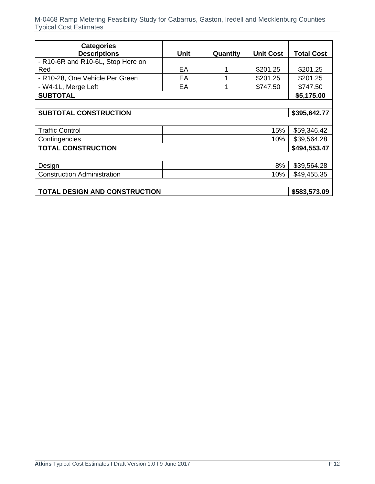| <b>Categories</b>                  |      |          |                  |                   |
|------------------------------------|------|----------|------------------|-------------------|
| <b>Descriptions</b>                | Unit | Quantity | <b>Unit Cost</b> | <b>Total Cost</b> |
| - R10-6R and R10-6L, Stop Here on  |      |          |                  |                   |
| Red                                | EA   |          | \$201.25         | \$201.25          |
| - R10-28, One Vehicle Per Green    | EA   |          | \$201.25         | \$201.25          |
| - W4-1L, Merge Left                | EA   |          | \$747.50         | \$747.50          |
| <b>SUBTOTAL</b>                    |      |          |                  | \$5,175.00        |
|                                    |      |          |                  |                   |
| <b>SUBTOTAL CONSTRUCTION</b>       |      |          |                  | \$395,642.77      |
|                                    |      |          |                  |                   |
| <b>Traffic Control</b>             |      |          | 15%              | \$59,346.42       |
| Contingencies                      |      |          | 10%              | \$39,564.28       |
| <b>TOTAL CONSTRUCTION</b>          |      |          |                  | \$494,553.47      |
|                                    |      |          |                  |                   |
| Design                             |      |          | 8%               | \$39,564.28       |
| <b>Construction Administration</b> |      |          | 10%              | \$49,455.35       |
|                                    |      |          |                  |                   |
| TOTAL DESIGN AND CONSTRUCTION      |      |          |                  | \$583,573.09      |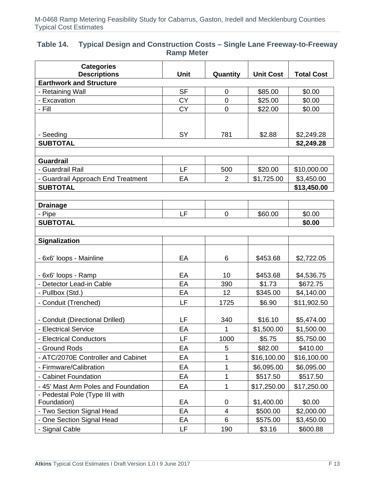#### **Table 14. Typical Design and Construction Costs – Single Lane Freeway-to-Freeway Ramp Meter**

| <b>Categories</b>                                     |           |                |                  |                   |
|-------------------------------------------------------|-----------|----------------|------------------|-------------------|
| <b>Descriptions</b><br><b>Earthwork and Structure</b> | Unit      | Quantity       | <b>Unit Cost</b> | <b>Total Cost</b> |
| - Retaining Wall                                      | <b>SF</b> | 0              | \$85.00          | \$0.00            |
| - Excavation                                          | <b>CY</b> | 0              | \$25.00          | \$0.00            |
| - Fill                                                | <b>CY</b> | $\mathbf 0$    | \$22.00          | \$0.00            |
|                                                       |           |                |                  |                   |
|                                                       |           |                |                  |                   |
| - Seeding                                             | SY        | 781            | \$2.88           | \$2,249.28        |
| <b>SUBTOTAL</b>                                       |           |                |                  | \$2,249.28        |
|                                                       |           |                |                  |                   |
| <b>Guardrail</b>                                      |           |                |                  |                   |
| - Guardrail Rail                                      | <b>LF</b> | 500            | \$20.00          | \$10,000.00       |
| - Guardrail Approach End Treatment                    | EA        | $\overline{2}$ | \$1,725.00       | \$3,450.00        |
| <b>SUBTOTAL</b>                                       |           |                |                  | \$13,450.00       |
|                                                       |           |                |                  |                   |
| <b>Drainage</b>                                       |           |                |                  |                   |
| - Pipe                                                | LF        | 0              | \$60.00          | \$0.00            |
| <b>SUBTOTAL</b>                                       |           |                |                  | \$0.00            |
|                                                       |           |                |                  |                   |
| <b>Signalization</b>                                  |           |                |                  |                   |
| - 6x6' loops - Mainline                               | EA        | 6              | \$453.68         | \$2,722.05        |
|                                                       |           |                |                  |                   |
| - 6x6' loops - Ramp                                   | EA        | 10             | \$453.68         | \$4,536.75        |
| - Detector Lead-in Cable                              | EA        | 390            | \$1.73           | \$672.75          |
| - Pullbox (Std.)                                      | EA        | 12             | \$345.00         | \$4,140.00        |
| - Conduit (Trenched)                                  | LF        | 1725           | \$6.90           | \$11,902.50       |
|                                                       |           |                |                  |                   |
| - Conduit (Directional Drilled)                       | LF        | 340            | \$16.10          | \$5,474.00        |
| - Electrical Service                                  | EA        | $\mathbf{1}$   | \$1,500.00       | \$1,500.00        |
| - Electrical Conductors                               | LF        | 1000           | \$5.75           | \$5,750.00        |
| - Ground Rods                                         | EA        | 5              | \$82.00          | \$410.00          |
| - ATC/2070E Controller and Cabinet                    | EA        |                | \$16,100.00      | \$16,100.00       |
| - Firmware/Calibration                                | EA        | 1              | \$6,095.00       | \$6,095.00        |
| - Cabinet Foundation                                  | EA        | 1              | \$517.50         | \$517.50          |
| - 45' Mast Arm Poles and Foundation                   | EA        | 1              | \$17,250.00      | \$17,250.00       |
| - Pedestal Pole (Type III with                        |           |                |                  |                   |
| Foundation)                                           | EA        | 0              | \$1,400.00       | \$0.00            |
| - Two Section Signal Head                             | EA        | 4              | \$500.00         | \$2,000.00        |
| - One Section Signal Head                             | EA        | 6              | \$575.00         | \$3,450.00        |
| - Signal Cable                                        | LF        | 190            | \$3.16           | \$600.88          |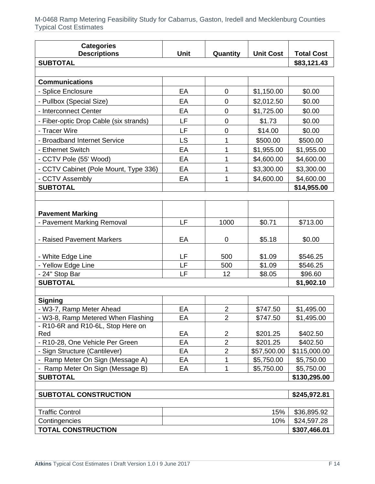| <b>SUBTOTAL</b><br>\$83,121.43<br><b>Communications</b><br>EA<br>- Splice Enclosure<br>0<br>\$1,150.00<br>\$0.00<br>- Pullbox (Special Size)<br>EA<br>$\overline{0}$<br>\$2,012.50<br>\$0.00<br>- Interconnect Center<br>EA<br>$\mathbf 0$<br>\$1,725.00<br>\$0.00<br>LF<br>- Fiber-optic Drop Cable (six strands)<br>$\mathbf 0$<br>\$1.73<br>\$0.00<br>LF<br>- Tracer Wire<br>\$14.00<br>\$0.00<br>0<br>- Broadband Internet Service<br>LS<br>\$500.00<br>\$500.00<br>1<br>EA<br>1<br>\$1,955.00<br>\$1,955.00<br>- Ethernet Switch<br>EA<br>1<br>\$4,600.00<br>- CCTV Pole (55' Wood)<br>\$4,600.00<br>- CCTV Cabinet (Pole Mount, Type 336)<br>EA<br>1<br>\$3,300.00<br>\$3,300.00<br>\$4,600.00<br>- CCTV Assembly<br>EA<br>1<br>\$4,600.00<br><b>SUBTOTAL</b><br>\$14,955.00<br><b>Pavement Marking</b><br>LF<br>- Pavement Marking Removal<br>1000<br>\$0.71<br>\$713.00<br>- Raised Pavement Markers<br>EA<br>\$5.18<br>\$0.00<br>0<br>LF<br>- White Edge Line<br>\$1.09<br>\$546.25<br>500<br>LF<br>- Yellow Edge Line<br>\$1.09<br>500<br>\$546.25<br>LF<br>- 24" Stop Bar<br>12<br>\$8.05<br>\$96.60<br><b>SUBTOTAL</b><br>\$1,902.10<br><b>Signing</b><br>EA<br>$\overline{2}$<br>- W3-7, Ramp Meter Ahead<br>\$747.50<br>\$1,495.00<br>- W3-8, Ramp Metered When Flashing<br>EA<br>$\overline{2}$<br>\$747.50<br>\$1,495.00<br>- R10-6R and R10-6L, Stop Here on<br>Red<br>EA<br>$\overline{2}$<br>\$402.50<br>\$201.25<br>$\overline{2}$<br>EA<br>\$201.25<br>\$402.50<br>- R10-28, One Vehicle Per Green<br>2<br>- Sign Structure (Cantilever)<br>EA<br>\$57,500.00<br>\$115,000.00<br>- Ramp Meter On Sign (Message A)<br>EA<br>\$5,750.00<br>\$5,750.00<br>1<br>- Ramp Meter On Sign (Message B)<br>EA<br>\$5,750.00<br>\$5,750.00<br>1<br><b>SUBTOTAL</b><br>\$130,295.00<br><b>SUBTOTAL CONSTRUCTION</b><br>\$245,972.81<br><b>Traffic Control</b><br>15%<br>\$36,895.92<br>Contingencies<br>10%<br>\$24,597.28 | <b>Categories</b><br><b>Descriptions</b> | <b>Unit</b> | Quantity | <b>Unit Cost</b> | <b>Total Cost</b> |
|------------------------------------------------------------------------------------------------------------------------------------------------------------------------------------------------------------------------------------------------------------------------------------------------------------------------------------------------------------------------------------------------------------------------------------------------------------------------------------------------------------------------------------------------------------------------------------------------------------------------------------------------------------------------------------------------------------------------------------------------------------------------------------------------------------------------------------------------------------------------------------------------------------------------------------------------------------------------------------------------------------------------------------------------------------------------------------------------------------------------------------------------------------------------------------------------------------------------------------------------------------------------------------------------------------------------------------------------------------------------------------------------------------------------------------------------------------------------------------------------------------------------------------------------------------------------------------------------------------------------------------------------------------------------------------------------------------------------------------------------------------------------------------------------------------------------------------------------------------------------------------------------------------------------------------|------------------------------------------|-------------|----------|------------------|-------------------|
|                                                                                                                                                                                                                                                                                                                                                                                                                                                                                                                                                                                                                                                                                                                                                                                                                                                                                                                                                                                                                                                                                                                                                                                                                                                                                                                                                                                                                                                                                                                                                                                                                                                                                                                                                                                                                                                                                                                                    |                                          |             |          |                  |                   |
|                                                                                                                                                                                                                                                                                                                                                                                                                                                                                                                                                                                                                                                                                                                                                                                                                                                                                                                                                                                                                                                                                                                                                                                                                                                                                                                                                                                                                                                                                                                                                                                                                                                                                                                                                                                                                                                                                                                                    |                                          |             |          |                  |                   |
|                                                                                                                                                                                                                                                                                                                                                                                                                                                                                                                                                                                                                                                                                                                                                                                                                                                                                                                                                                                                                                                                                                                                                                                                                                                                                                                                                                                                                                                                                                                                                                                                                                                                                                                                                                                                                                                                                                                                    |                                          |             |          |                  |                   |
|                                                                                                                                                                                                                                                                                                                                                                                                                                                                                                                                                                                                                                                                                                                                                                                                                                                                                                                                                                                                                                                                                                                                                                                                                                                                                                                                                                                                                                                                                                                                                                                                                                                                                                                                                                                                                                                                                                                                    |                                          |             |          |                  |                   |
|                                                                                                                                                                                                                                                                                                                                                                                                                                                                                                                                                                                                                                                                                                                                                                                                                                                                                                                                                                                                                                                                                                                                                                                                                                                                                                                                                                                                                                                                                                                                                                                                                                                                                                                                                                                                                                                                                                                                    |                                          |             |          |                  |                   |
|                                                                                                                                                                                                                                                                                                                                                                                                                                                                                                                                                                                                                                                                                                                                                                                                                                                                                                                                                                                                                                                                                                                                                                                                                                                                                                                                                                                                                                                                                                                                                                                                                                                                                                                                                                                                                                                                                                                                    |                                          |             |          |                  |                   |
|                                                                                                                                                                                                                                                                                                                                                                                                                                                                                                                                                                                                                                                                                                                                                                                                                                                                                                                                                                                                                                                                                                                                                                                                                                                                                                                                                                                                                                                                                                                                                                                                                                                                                                                                                                                                                                                                                                                                    |                                          |             |          |                  |                   |
|                                                                                                                                                                                                                                                                                                                                                                                                                                                                                                                                                                                                                                                                                                                                                                                                                                                                                                                                                                                                                                                                                                                                                                                                                                                                                                                                                                                                                                                                                                                                                                                                                                                                                                                                                                                                                                                                                                                                    |                                          |             |          |                  |                   |
|                                                                                                                                                                                                                                                                                                                                                                                                                                                                                                                                                                                                                                                                                                                                                                                                                                                                                                                                                                                                                                                                                                                                                                                                                                                                                                                                                                                                                                                                                                                                                                                                                                                                                                                                                                                                                                                                                                                                    |                                          |             |          |                  |                   |
|                                                                                                                                                                                                                                                                                                                                                                                                                                                                                                                                                                                                                                                                                                                                                                                                                                                                                                                                                                                                                                                                                                                                                                                                                                                                                                                                                                                                                                                                                                                                                                                                                                                                                                                                                                                                                                                                                                                                    |                                          |             |          |                  |                   |
|                                                                                                                                                                                                                                                                                                                                                                                                                                                                                                                                                                                                                                                                                                                                                                                                                                                                                                                                                                                                                                                                                                                                                                                                                                                                                                                                                                                                                                                                                                                                                                                                                                                                                                                                                                                                                                                                                                                                    |                                          |             |          |                  |                   |
|                                                                                                                                                                                                                                                                                                                                                                                                                                                                                                                                                                                                                                                                                                                                                                                                                                                                                                                                                                                                                                                                                                                                                                                                                                                                                                                                                                                                                                                                                                                                                                                                                                                                                                                                                                                                                                                                                                                                    |                                          |             |          |                  |                   |
|                                                                                                                                                                                                                                                                                                                                                                                                                                                                                                                                                                                                                                                                                                                                                                                                                                                                                                                                                                                                                                                                                                                                                                                                                                                                                                                                                                                                                                                                                                                                                                                                                                                                                                                                                                                                                                                                                                                                    |                                          |             |          |                  |                   |
|                                                                                                                                                                                                                                                                                                                                                                                                                                                                                                                                                                                                                                                                                                                                                                                                                                                                                                                                                                                                                                                                                                                                                                                                                                                                                                                                                                                                                                                                                                                                                                                                                                                                                                                                                                                                                                                                                                                                    |                                          |             |          |                  |                   |
|                                                                                                                                                                                                                                                                                                                                                                                                                                                                                                                                                                                                                                                                                                                                                                                                                                                                                                                                                                                                                                                                                                                                                                                                                                                                                                                                                                                                                                                                                                                                                                                                                                                                                                                                                                                                                                                                                                                                    |                                          |             |          |                  |                   |
|                                                                                                                                                                                                                                                                                                                                                                                                                                                                                                                                                                                                                                                                                                                                                                                                                                                                                                                                                                                                                                                                                                                                                                                                                                                                                                                                                                                                                                                                                                                                                                                                                                                                                                                                                                                                                                                                                                                                    |                                          |             |          |                  |                   |
|                                                                                                                                                                                                                                                                                                                                                                                                                                                                                                                                                                                                                                                                                                                                                                                                                                                                                                                                                                                                                                                                                                                                                                                                                                                                                                                                                                                                                                                                                                                                                                                                                                                                                                                                                                                                                                                                                                                                    |                                          |             |          |                  |                   |
|                                                                                                                                                                                                                                                                                                                                                                                                                                                                                                                                                                                                                                                                                                                                                                                                                                                                                                                                                                                                                                                                                                                                                                                                                                                                                                                                                                                                                                                                                                                                                                                                                                                                                                                                                                                                                                                                                                                                    |                                          |             |          |                  |                   |
|                                                                                                                                                                                                                                                                                                                                                                                                                                                                                                                                                                                                                                                                                                                                                                                                                                                                                                                                                                                                                                                                                                                                                                                                                                                                                                                                                                                                                                                                                                                                                                                                                                                                                                                                                                                                                                                                                                                                    |                                          |             |          |                  |                   |
|                                                                                                                                                                                                                                                                                                                                                                                                                                                                                                                                                                                                                                                                                                                                                                                                                                                                                                                                                                                                                                                                                                                                                                                                                                                                                                                                                                                                                                                                                                                                                                                                                                                                                                                                                                                                                                                                                                                                    |                                          |             |          |                  |                   |
|                                                                                                                                                                                                                                                                                                                                                                                                                                                                                                                                                                                                                                                                                                                                                                                                                                                                                                                                                                                                                                                                                                                                                                                                                                                                                                                                                                                                                                                                                                                                                                                                                                                                                                                                                                                                                                                                                                                                    |                                          |             |          |                  |                   |
|                                                                                                                                                                                                                                                                                                                                                                                                                                                                                                                                                                                                                                                                                                                                                                                                                                                                                                                                                                                                                                                                                                                                                                                                                                                                                                                                                                                                                                                                                                                                                                                                                                                                                                                                                                                                                                                                                                                                    |                                          |             |          |                  |                   |
|                                                                                                                                                                                                                                                                                                                                                                                                                                                                                                                                                                                                                                                                                                                                                                                                                                                                                                                                                                                                                                                                                                                                                                                                                                                                                                                                                                                                                                                                                                                                                                                                                                                                                                                                                                                                                                                                                                                                    |                                          |             |          |                  |                   |
|                                                                                                                                                                                                                                                                                                                                                                                                                                                                                                                                                                                                                                                                                                                                                                                                                                                                                                                                                                                                                                                                                                                                                                                                                                                                                                                                                                                                                                                                                                                                                                                                                                                                                                                                                                                                                                                                                                                                    |                                          |             |          |                  |                   |
|                                                                                                                                                                                                                                                                                                                                                                                                                                                                                                                                                                                                                                                                                                                                                                                                                                                                                                                                                                                                                                                                                                                                                                                                                                                                                                                                                                                                                                                                                                                                                                                                                                                                                                                                                                                                                                                                                                                                    |                                          |             |          |                  |                   |
|                                                                                                                                                                                                                                                                                                                                                                                                                                                                                                                                                                                                                                                                                                                                                                                                                                                                                                                                                                                                                                                                                                                                                                                                                                                                                                                                                                                                                                                                                                                                                                                                                                                                                                                                                                                                                                                                                                                                    |                                          |             |          |                  |                   |
|                                                                                                                                                                                                                                                                                                                                                                                                                                                                                                                                                                                                                                                                                                                                                                                                                                                                                                                                                                                                                                                                                                                                                                                                                                                                                                                                                                                                                                                                                                                                                                                                                                                                                                                                                                                                                                                                                                                                    |                                          |             |          |                  |                   |
|                                                                                                                                                                                                                                                                                                                                                                                                                                                                                                                                                                                                                                                                                                                                                                                                                                                                                                                                                                                                                                                                                                                                                                                                                                                                                                                                                                                                                                                                                                                                                                                                                                                                                                                                                                                                                                                                                                                                    |                                          |             |          |                  |                   |
|                                                                                                                                                                                                                                                                                                                                                                                                                                                                                                                                                                                                                                                                                                                                                                                                                                                                                                                                                                                                                                                                                                                                                                                                                                                                                                                                                                                                                                                                                                                                                                                                                                                                                                                                                                                                                                                                                                                                    |                                          |             |          |                  |                   |
|                                                                                                                                                                                                                                                                                                                                                                                                                                                                                                                                                                                                                                                                                                                                                                                                                                                                                                                                                                                                                                                                                                                                                                                                                                                                                                                                                                                                                                                                                                                                                                                                                                                                                                                                                                                                                                                                                                                                    |                                          |             |          |                  |                   |
|                                                                                                                                                                                                                                                                                                                                                                                                                                                                                                                                                                                                                                                                                                                                                                                                                                                                                                                                                                                                                                                                                                                                                                                                                                                                                                                                                                                                                                                                                                                                                                                                                                                                                                                                                                                                                                                                                                                                    |                                          |             |          |                  |                   |
|                                                                                                                                                                                                                                                                                                                                                                                                                                                                                                                                                                                                                                                                                                                                                                                                                                                                                                                                                                                                                                                                                                                                                                                                                                                                                                                                                                                                                                                                                                                                                                                                                                                                                                                                                                                                                                                                                                                                    |                                          |             |          |                  |                   |
|                                                                                                                                                                                                                                                                                                                                                                                                                                                                                                                                                                                                                                                                                                                                                                                                                                                                                                                                                                                                                                                                                                                                                                                                                                                                                                                                                                                                                                                                                                                                                                                                                                                                                                                                                                                                                                                                                                                                    |                                          |             |          |                  |                   |
|                                                                                                                                                                                                                                                                                                                                                                                                                                                                                                                                                                                                                                                                                                                                                                                                                                                                                                                                                                                                                                                                                                                                                                                                                                                                                                                                                                                                                                                                                                                                                                                                                                                                                                                                                                                                                                                                                                                                    |                                          |             |          |                  |                   |
|                                                                                                                                                                                                                                                                                                                                                                                                                                                                                                                                                                                                                                                                                                                                                                                                                                                                                                                                                                                                                                                                                                                                                                                                                                                                                                                                                                                                                                                                                                                                                                                                                                                                                                                                                                                                                                                                                                                                    |                                          |             |          |                  |                   |
|                                                                                                                                                                                                                                                                                                                                                                                                                                                                                                                                                                                                                                                                                                                                                                                                                                                                                                                                                                                                                                                                                                                                                                                                                                                                                                                                                                                                                                                                                                                                                                                                                                                                                                                                                                                                                                                                                                                                    |                                          |             |          |                  |                   |
|                                                                                                                                                                                                                                                                                                                                                                                                                                                                                                                                                                                                                                                                                                                                                                                                                                                                                                                                                                                                                                                                                                                                                                                                                                                                                                                                                                                                                                                                                                                                                                                                                                                                                                                                                                                                                                                                                                                                    |                                          |             |          |                  |                   |
|                                                                                                                                                                                                                                                                                                                                                                                                                                                                                                                                                                                                                                                                                                                                                                                                                                                                                                                                                                                                                                                                                                                                                                                                                                                                                                                                                                                                                                                                                                                                                                                                                                                                                                                                                                                                                                                                                                                                    |                                          |             |          |                  |                   |
|                                                                                                                                                                                                                                                                                                                                                                                                                                                                                                                                                                                                                                                                                                                                                                                                                                                                                                                                                                                                                                                                                                                                                                                                                                                                                                                                                                                                                                                                                                                                                                                                                                                                                                                                                                                                                                                                                                                                    | <b>TOTAL CONSTRUCTION</b>                |             |          |                  | \$307,466.01      |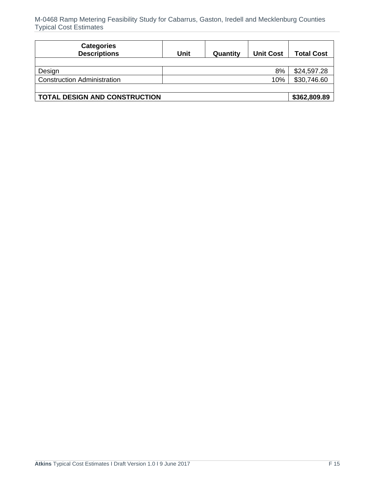| <b>Categories</b><br><b>Descriptions</b> | Unit | Quantity | <b>Unit Cost</b> | <b>Total Cost</b> |
|------------------------------------------|------|----------|------------------|-------------------|
|                                          |      |          |                  |                   |
| Design                                   |      |          | 8%               | \$24,597.28       |
| <b>Construction Administration</b>       |      |          | 10%              | \$30,746.60       |
|                                          |      |          |                  |                   |
| <b>TOTAL DESIGN AND CONSTRUCTION</b>     |      |          |                  | \$362,809.89      |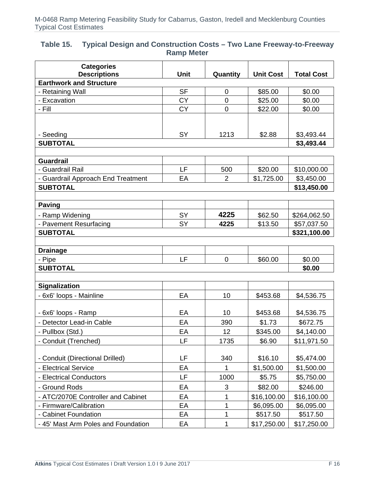#### **Table 15. Typical Design and Construction Costs – Two Lane Freeway-to-Freeway Ramp Meter**

| <b>Categories</b><br><b>Descriptions</b> | Unit      | Quantity       | <b>Unit Cost</b> | <b>Total Cost</b> |
|------------------------------------------|-----------|----------------|------------------|-------------------|
| <b>Earthwork and Structure</b>           |           |                |                  |                   |
| - Retaining Wall                         | <b>SF</b> | 0              | \$85.00          | \$0.00            |
| - Excavation                             | <b>CY</b> | $\mathbf 0$    | \$25.00          | \$0.00            |
| - Fill                                   | <b>CY</b> | $\mathbf 0$    | \$22.00          | \$0.00            |
|                                          |           |                |                  |                   |
|                                          |           |                |                  |                   |
| - Seeding                                | SY        | 1213           | \$2.88           | \$3,493.44        |
| <b>SUBTOTAL</b>                          |           |                |                  | \$3,493.44        |
|                                          |           |                |                  |                   |
| <b>Guardrail</b>                         |           |                |                  |                   |
| - Guardrail Rail                         | LF        | 500            | \$20.00          | \$10,000.00       |
| - Guardrail Approach End Treatment       | EA        | $\overline{2}$ | \$1,725.00       | \$3,450.00        |
| <b>SUBTOTAL</b>                          |           |                |                  | \$13,450.00       |
|                                          |           |                |                  |                   |
| <b>Paving</b>                            |           |                |                  |                   |
| - Ramp Widening                          | SY        | 4225           | \$62.50          | \$264,062.50      |
| - Pavement Resurfacing                   | <b>SY</b> | 4225           | \$13.50          | \$57,037.50       |
| <b>SUBTOTAL</b>                          |           |                |                  | \$321,100.00      |
|                                          |           |                |                  |                   |
| <b>Drainage</b>                          |           |                |                  |                   |
| - Pipe                                   | LF        | $\mathbf 0$    | \$60.00          | \$0.00            |
| <b>SUBTOTAL</b>                          |           |                |                  | \$0.00            |
|                                          |           |                |                  |                   |
| <b>Signalization</b>                     |           |                |                  |                   |
| - 6x6' loops - Mainline                  | EA        | 10             | \$453.68         | \$4,536.75        |
| - 6x6' loops - Ramp                      | EA        | 10             | \$453.68         | \$4,536.75        |
| - Detector Lead-in Cable                 | EA        | 390            | \$1.73           | \$672.75          |
| - Pullbox (Std.)                         | EA        | 12             | \$345.00         | \$4,140.00        |
|                                          |           |                |                  |                   |
| - Conduit (Trenched)                     | LF        | 1735           | \$6.90           | \$11,971.50       |
| - Conduit (Directional Drilled)          | LF        | 340            | \$16.10          | \$5,474.00        |
| - Electrical Service                     | EA        | 1              | \$1,500.00       |                   |
|                                          |           |                |                  | \$1,500.00        |
| - Electrical Conductors                  | LF        | 1000           | \$5.75           | \$5,750.00        |
| - Ground Rods                            | EA        | 3              | \$82.00          | \$246.00          |
| - ATC/2070E Controller and Cabinet       | EA        | 1              | \$16,100.00      | \$16,100.00       |
| - Firmware/Calibration                   | EA        | 1              | \$6,095.00       | \$6,095.00        |
| - Cabinet Foundation                     | EA        | 1              | \$517.50         | \$517.50          |
| - 45' Mast Arm Poles and Foundation      | EA        | $\mathbf 1$    | \$17,250.00      | \$17,250.00       |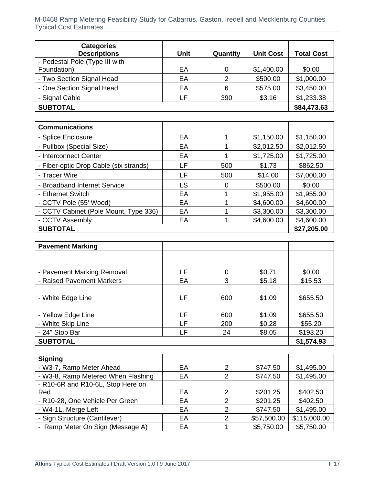| <b>Categories</b>                                     |      |                |                  |                   |
|-------------------------------------------------------|------|----------------|------------------|-------------------|
| <b>Descriptions</b><br>- Pedestal Pole (Type III with | Unit | Quantity       | <b>Unit Cost</b> | <b>Total Cost</b> |
| Foundation)                                           | EA   | 0              | \$1,400.00       | \$0.00            |
| - Two Section Signal Head                             | EA   | $\overline{2}$ | \$500.00         | \$1,000.00        |
| - One Section Signal Head                             | EA   | 6              | \$575.00         | \$3,450.00        |
| - Signal Cable                                        | LF   | 390            | \$3.16           | \$1,233.38        |
| <b>SUBTOTAL</b>                                       |      |                |                  | \$84,473.63       |
|                                                       |      |                |                  |                   |
| <b>Communications</b>                                 |      |                |                  |                   |
| - Splice Enclosure                                    | EA   | 1              | \$1,150.00       | \$1,150.00        |
| - Pullbox (Special Size)                              | EA   | 1              | \$2,012.50       | \$2,012.50        |
| - Interconnect Center                                 | EA   | 1              | \$1,725.00       | \$1,725.00        |
| - Fiber-optic Drop Cable (six strands)                | LF   | 500            | \$1.73           | \$862.50          |
| - Tracer Wire                                         | LF   | 500            | \$14.00          | \$7,000.00        |
| - Broadband Internet Service                          | LS   | $\mathbf 0$    | \$500.00         | \$0.00            |
| - Ethernet Switch                                     | EA   | 1              | \$1,955.00       | \$1,955.00        |
| - CCTV Pole (55' Wood)                                | EA   | 1              | \$4,600.00       | \$4,600.00        |
| - CCTV Cabinet (Pole Mount, Type 336)                 | EA   | 1              | \$3,300.00       | \$3,300.00        |
| - CCTV Assembly                                       | EA   | 1              | \$4,600.00       | \$4,600.00        |
| <b>SUBTOTAL</b>                                       |      |                |                  | \$27,205.00       |
|                                                       |      |                |                  |                   |
| <b>Pavement Marking</b>                               |      |                |                  |                   |
|                                                       |      |                |                  |                   |
| - Pavement Marking Removal                            | LF   | 0              | \$0.71           | \$0.00            |
| - Raised Pavement Markers                             | EA   | 3              | \$5.18           | \$15.53           |
| - White Edge Line                                     | LF   | 600            | \$1.09           | \$655.50          |
|                                                       |      |                |                  |                   |
| - Yellow Edge Line                                    | LF   | 600            | \$1.09           | \$655.50          |
| - White Skip Line                                     | LF   | 200            | \$0.28           | \$55.20           |
| - 24" Stop Bar                                        | LF   | 24             | \$8.05           | \$193.20          |
| <b>SUBTOTAL</b>                                       |      |                |                  | \$1,574.93        |
| <b>Signing</b>                                        |      |                |                  |                   |
| - W3-7, Ramp Meter Ahead                              | EA   | $\overline{2}$ | \$747.50         | \$1,495.00        |
| - W3-8, Ramp Metered When Flashing                    | EA   | $\overline{2}$ | \$747.50         | \$1,495.00        |
| - R10-6R and R10-6L, Stop Here on                     |      |                |                  |                   |
| Red                                                   | EA   | $\overline{2}$ | \$201.25         | \$402.50          |
| - R10-28, One Vehicle Per Green                       | EA   | $\overline{2}$ | \$201.25         | \$402.50          |
| - W4-1L, Merge Left                                   | EA   | $\overline{2}$ | \$747.50         | \$1,495.00        |
| - Sign Structure (Cantilever)                         | EA   | $\overline{2}$ | \$57,500.00      | \$115,000.00      |
| - Ramp Meter On Sign (Message A)                      | EA   | 1              | \$5,750.00       | \$5,750.00        |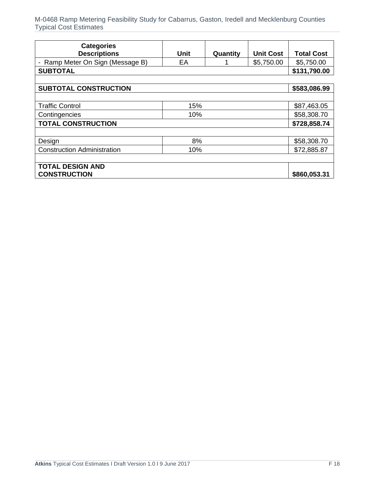| <b>Categories</b><br><b>Descriptions</b>       | <b>Unit</b> | Quantity | <b>Unit Cost</b> | <b>Total Cost</b> |
|------------------------------------------------|-------------|----------|------------------|-------------------|
| Ramp Meter On Sign (Message B)                 | EA          |          | \$5,750.00       | \$5,750.00        |
| <b>SUBTOTAL</b>                                |             |          |                  | \$131,790.00      |
|                                                |             |          |                  |                   |
| <b>SUBTOTAL CONSTRUCTION</b>                   |             |          |                  | \$583,086.99      |
|                                                |             |          |                  |                   |
| <b>Traffic Control</b>                         | 15%         |          |                  | \$87,463.05       |
| Contingencies                                  | 10%         |          |                  | \$58,308.70       |
| <b>TOTAL CONSTRUCTION</b>                      |             |          |                  | \$728,858.74      |
|                                                |             |          |                  |                   |
| Design                                         | 8%          |          |                  | \$58,308.70       |
| <b>Construction Administration</b>             | 10%         |          |                  | \$72,885.87       |
|                                                |             |          |                  |                   |
| <b>TOTAL DESIGN AND</b><br><b>CONSTRUCTION</b> |             |          |                  | \$860,053.31      |